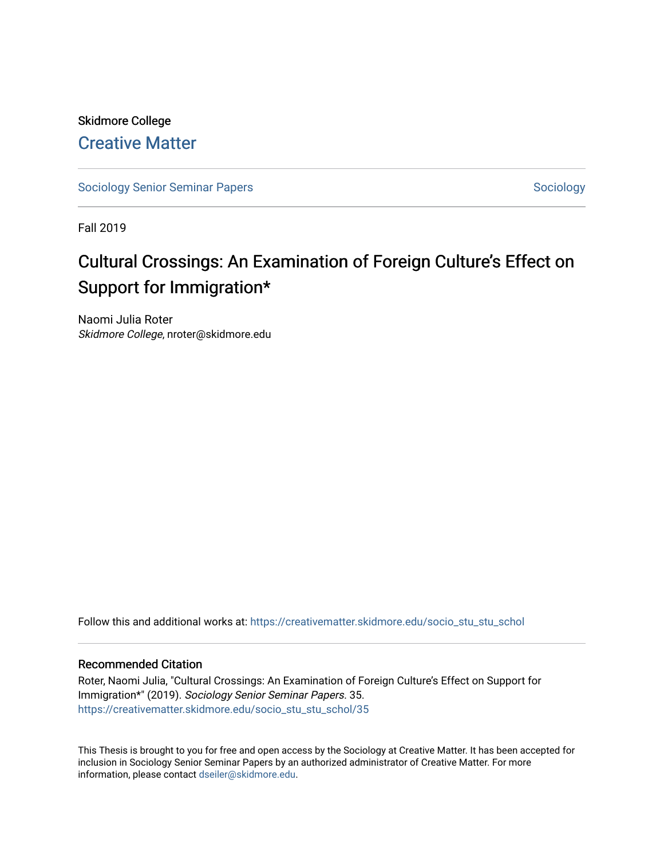# Skidmore College [Creative Matter](https://creativematter.skidmore.edu/)

[Sociology Senior Seminar Papers](https://creativematter.skidmore.edu/socio_stu_stu_schol) [Sociology](https://creativematter.skidmore.edu/stu_schol_socio_stu) Sociology Sociology

Fall 2019

# Cultural Crossings: An Examination of Foreign Culture's Effect on Support for Immigration\*

Naomi Julia Roter Skidmore College, nroter@skidmore.edu

Follow this and additional works at: [https://creativematter.skidmore.edu/socio\\_stu\\_stu\\_schol](https://creativematter.skidmore.edu/socio_stu_stu_schol?utm_source=creativematter.skidmore.edu%2Fsocio_stu_stu_schol%2F35&utm_medium=PDF&utm_campaign=PDFCoverPages) 

# Recommended Citation

Roter, Naomi Julia, "Cultural Crossings: An Examination of Foreign Culture's Effect on Support for Immigration\*" (2019). Sociology Senior Seminar Papers. 35. [https://creativematter.skidmore.edu/socio\\_stu\\_stu\\_schol/35](https://creativematter.skidmore.edu/socio_stu_stu_schol/35?utm_source=creativematter.skidmore.edu%2Fsocio_stu_stu_schol%2F35&utm_medium=PDF&utm_campaign=PDFCoverPages)

This Thesis is brought to you for free and open access by the Sociology at Creative Matter. It has been accepted for inclusion in Sociology Senior Seminar Papers by an authorized administrator of Creative Matter. For more information, please contact [dseiler@skidmore.edu.](mailto:dseiler@skidmore.edu)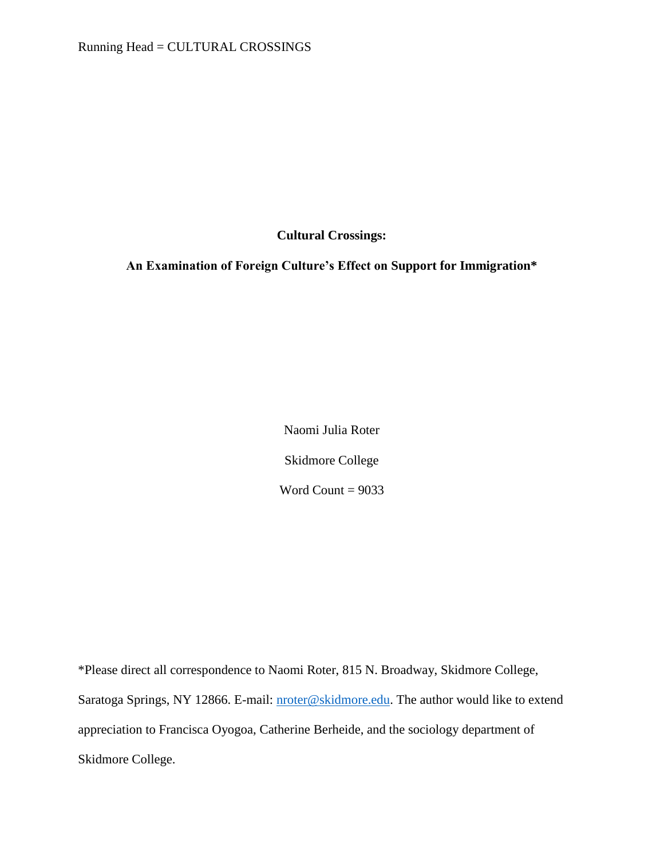Running Head = CULTURAL CROSSINGS

**Cultural Crossings:** 

**An Examination of Foreign Culture's Effect on Support for Immigration\***

Naomi Julia Roter Skidmore College Word Count =  $9033$ 

\*Please direct all correspondence to Naomi Roter, 815 N. Broadway, Skidmore College, Saratoga Springs, NY 12866. E-mail: [nroter@skidmore.edu.](mailto:nroter@skidmore.edu) The author would like to extend appreciation to Francisca Oyogoa, Catherine Berheide, and the sociology department of Skidmore College.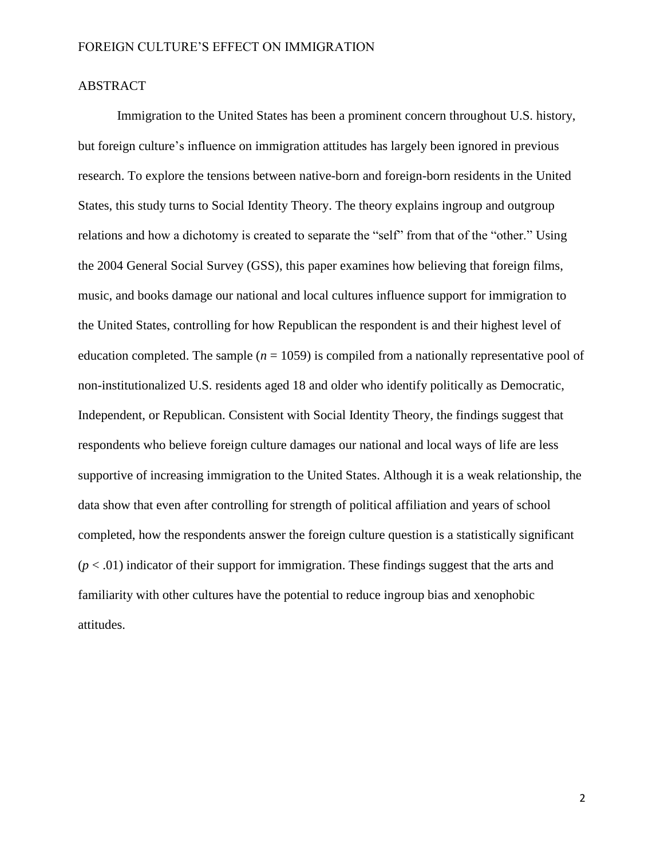# ABSTRACT

Immigration to the United States has been a prominent concern throughout U.S. history, but foreign culture's influence on immigration attitudes has largely been ignored in previous research. To explore the tensions between native-born and foreign-born residents in the United States, this study turns to Social Identity Theory. The theory explains ingroup and outgroup relations and how a dichotomy is created to separate the "self" from that of the "other." Using the 2004 General Social Survey (GSS), this paper examines how believing that foreign films, music, and books damage our national and local cultures influence support for immigration to the United States, controlling for how Republican the respondent is and their highest level of education completed. The sample  $(n = 1059)$  is compiled from a nationally representative pool of non-institutionalized U.S. residents aged 18 and older who identify politically as Democratic, Independent, or Republican. Consistent with Social Identity Theory, the findings suggest that respondents who believe foreign culture damages our national and local ways of life are less supportive of increasing immigration to the United States. Although it is a weak relationship, the data show that even after controlling for strength of political affiliation and years of school completed, how the respondents answer the foreign culture question is a statistically significant  $(p < .01)$  indicator of their support for immigration. These findings suggest that the arts and familiarity with other cultures have the potential to reduce ingroup bias and xenophobic attitudes.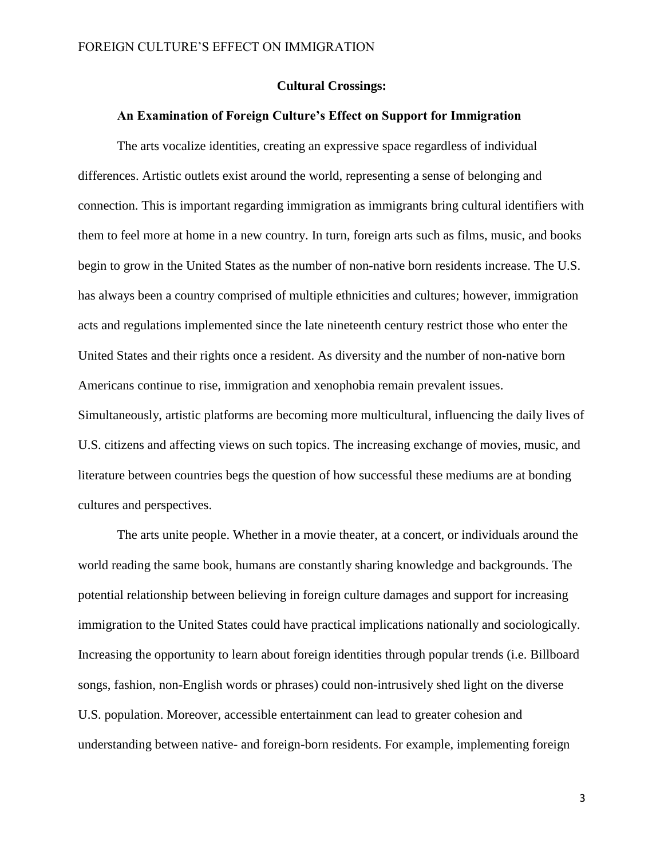# **Cultural Crossings:**

#### **An Examination of Foreign Culture's Effect on Support for Immigration**

The arts vocalize identities, creating an expressive space regardless of individual differences. Artistic outlets exist around the world, representing a sense of belonging and connection. This is important regarding immigration as immigrants bring cultural identifiers with them to feel more at home in a new country. In turn, foreign arts such as films, music, and books begin to grow in the United States as the number of non-native born residents increase. The U.S. has always been a country comprised of multiple ethnicities and cultures; however, immigration acts and regulations implemented since the late nineteenth century restrict those who enter the United States and their rights once a resident. As diversity and the number of non-native born Americans continue to rise, immigration and xenophobia remain prevalent issues. Simultaneously, artistic platforms are becoming more multicultural, influencing the daily lives of

U.S. citizens and affecting views on such topics. The increasing exchange of movies, music, and literature between countries begs the question of how successful these mediums are at bonding cultures and perspectives.

The arts unite people. Whether in a movie theater, at a concert, or individuals around the world reading the same book, humans are constantly sharing knowledge and backgrounds. The potential relationship between believing in foreign culture damages and support for increasing immigration to the United States could have practical implications nationally and sociologically. Increasing the opportunity to learn about foreign identities through popular trends (i.e. Billboard songs, fashion, non-English words or phrases) could non-intrusively shed light on the diverse U.S. population. Moreover, accessible entertainment can lead to greater cohesion and understanding between native- and foreign-born residents. For example, implementing foreign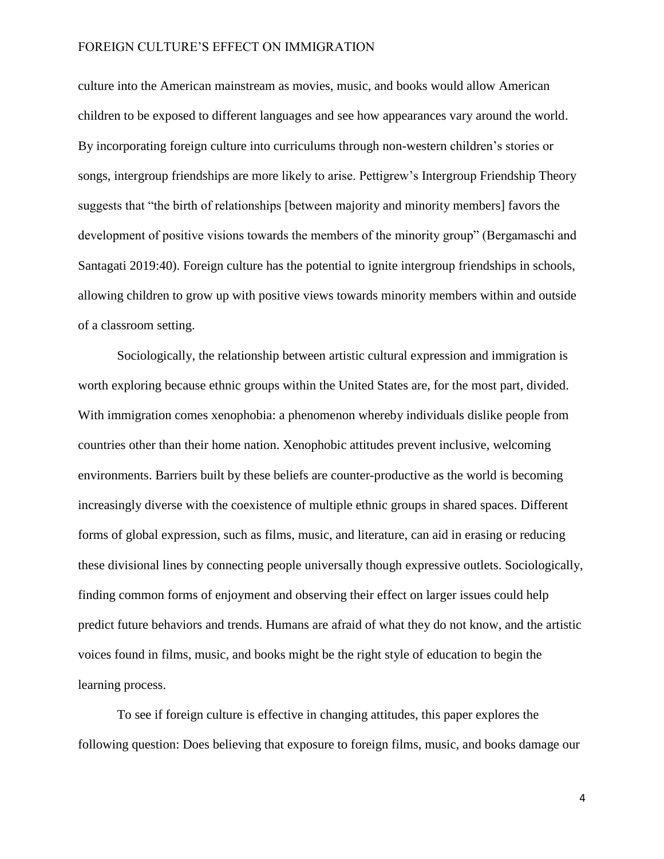culture into the American mainstream as movies, music, and books would allow American children to be exposed to different languages and see how appearances vary around the world. By incorporating foreign culture into curriculums through non-western children's stories or songs, intergroup friendships are more likely to arise. Pettigrew's Intergroup Friendship Theory suggests that "the birth of relationships [between majority and minority members] favors the development of positive visions towards the members of the minority group" (Bergamaschi and Santagati 2019:40). Foreign culture has the potential to ignite intergroup friendships in schools, allowing children to grow up with positive views towards minority members within and outside of a classroom setting.

Sociologically, the relationship between artistic cultural expression and immigration is worth exploring because ethnic groups within the United States are, for the most part, divided. With immigration comes xenophobia: a phenomenon whereby individuals dislike people from countries other than their home nation. Xenophobic attitudes prevent inclusive, welcoming environments. Barriers built by these beliefs are counter-productive as the world is becoming increasingly diverse with the coexistence of multiple ethnic groups in shared spaces. Different forms of global expression, such as films, music, and literature, can aid in erasing or reducing these divisional lines by connecting people universally though expressive outlets. Sociologically, finding common forms of enjoyment and observing their effect on larger issues could help predict future behaviors and trends. Humans are afraid of what they do not know, and the artistic voices found in films, music, and books might be the right style of education to begin the learning process.

To see if foreign culture is effective in changing attitudes, this paper explores the following question: Does believing that exposure to foreign films, music, and books damage our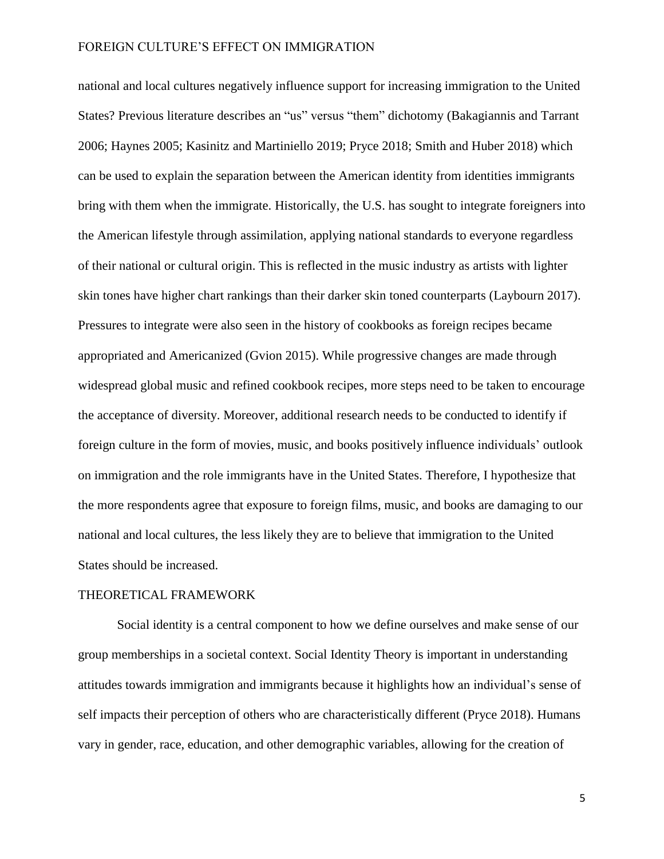national and local cultures negatively influence support for increasing immigration to the United States? Previous literature describes an "us" versus "them" dichotomy (Bakagiannis and Tarrant 2006; Haynes 2005; Kasinitz and Martiniello 2019; Pryce 2018; Smith and Huber 2018) which can be used to explain the separation between the American identity from identities immigrants bring with them when the immigrate. Historically, the U.S. has sought to integrate foreigners into the American lifestyle through assimilation, applying national standards to everyone regardless of their national or cultural origin. This is reflected in the music industry as artists with lighter skin tones have higher chart rankings than their darker skin toned counterparts (Laybourn 2017). Pressures to integrate were also seen in the history of cookbooks as foreign recipes became appropriated and Americanized (Gvion 2015). While progressive changes are made through widespread global music and refined cookbook recipes, more steps need to be taken to encourage the acceptance of diversity. Moreover, additional research needs to be conducted to identify if foreign culture in the form of movies, music, and books positively influence individuals' outlook on immigration and the role immigrants have in the United States. Therefore, I hypothesize that the more respondents agree that exposure to foreign films, music, and books are damaging to our national and local cultures, the less likely they are to believe that immigration to the United States should be increased.

# THEORETICAL FRAMEWORK

Social identity is a central component to how we define ourselves and make sense of our group memberships in a societal context. Social Identity Theory is important in understanding attitudes towards immigration and immigrants because it highlights how an individual's sense of self impacts their perception of others who are characteristically different (Pryce 2018). Humans vary in gender, race, education, and other demographic variables, allowing for the creation of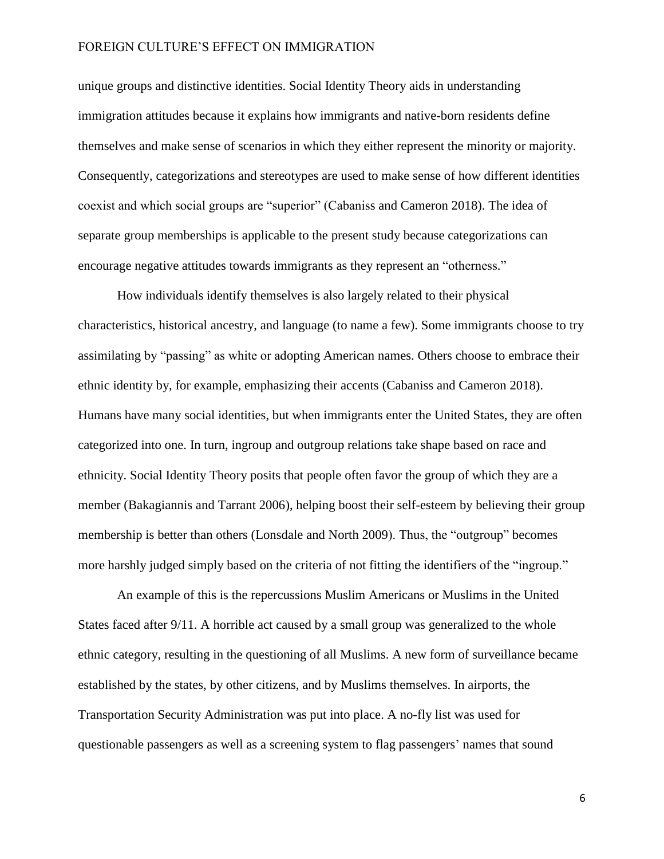unique groups and distinctive identities. Social Identity Theory aids in understanding immigration attitudes because it explains how immigrants and native-born residents define themselves and make sense of scenarios in which they either represent the minority or majority. Consequently, categorizations and stereotypes are used to make sense of how different identities coexist and which social groups are "superior" (Cabaniss and Cameron 2018). The idea of separate group memberships is applicable to the present study because categorizations can encourage negative attitudes towards immigrants as they represent an "otherness."

How individuals identify themselves is also largely related to their physical characteristics, historical ancestry, and language (to name a few). Some immigrants choose to try assimilating by "passing" as white or adopting American names. Others choose to embrace their ethnic identity by, for example, emphasizing their accents (Cabaniss and Cameron 2018). Humans have many social identities, but when immigrants enter the United States, they are often categorized into one. In turn, ingroup and outgroup relations take shape based on race and ethnicity. Social Identity Theory posits that people often favor the group of which they are a member (Bakagiannis and Tarrant 2006), helping boost their self-esteem by believing their group membership is better than others (Lonsdale and North 2009). Thus, the "outgroup" becomes more harshly judged simply based on the criteria of not fitting the identifiers of the "ingroup."

An example of this is the repercussions Muslim Americans or Muslims in the United States faced after 9/11. A horrible act caused by a small group was generalized to the whole ethnic category, resulting in the questioning of all Muslims. A new form of surveillance became established by the states, by other citizens, and by Muslims themselves. In airports, the Transportation Security Administration was put into place. A no-fly list was used for questionable passengers as well as a screening system to flag passengers' names that sound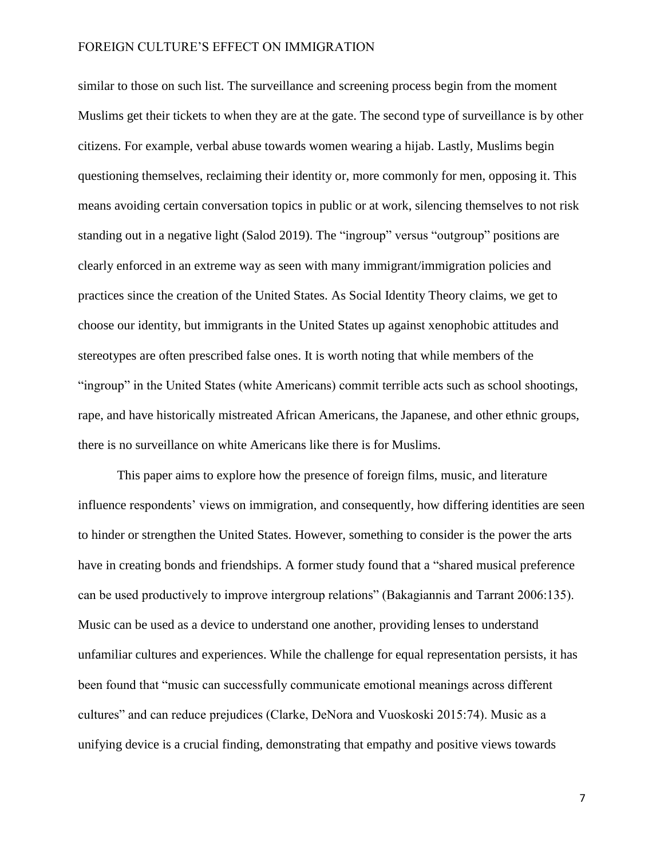similar to those on such list. The surveillance and screening process begin from the moment Muslims get their tickets to when they are at the gate. The second type of surveillance is by other citizens. For example, verbal abuse towards women wearing a hijab. Lastly, Muslims begin questioning themselves, reclaiming their identity or, more commonly for men, opposing it. This means avoiding certain conversation topics in public or at work, silencing themselves to not risk standing out in a negative light (Salod 2019). The "ingroup" versus "outgroup" positions are clearly enforced in an extreme way as seen with many immigrant/immigration policies and practices since the creation of the United States. As Social Identity Theory claims, we get to choose our identity, but immigrants in the United States up against xenophobic attitudes and stereotypes are often prescribed false ones. It is worth noting that while members of the "ingroup" in the United States (white Americans) commit terrible acts such as school shootings, rape, and have historically mistreated African Americans, the Japanese, and other ethnic groups, there is no surveillance on white Americans like there is for Muslims.

This paper aims to explore how the presence of foreign films, music, and literature influence respondents' views on immigration, and consequently, how differing identities are seen to hinder or strengthen the United States. However, something to consider is the power the arts have in creating bonds and friendships. A former study found that a "shared musical preference can be used productively to improve intergroup relations" (Bakagiannis and Tarrant 2006:135). Music can be used as a device to understand one another, providing lenses to understand unfamiliar cultures and experiences. While the challenge for equal representation persists, it has been found that "music can successfully communicate emotional meanings across different cultures" and can reduce prejudices (Clarke, DeNora and Vuoskoski 2015:74). Music as a unifying device is a crucial finding, demonstrating that empathy and positive views towards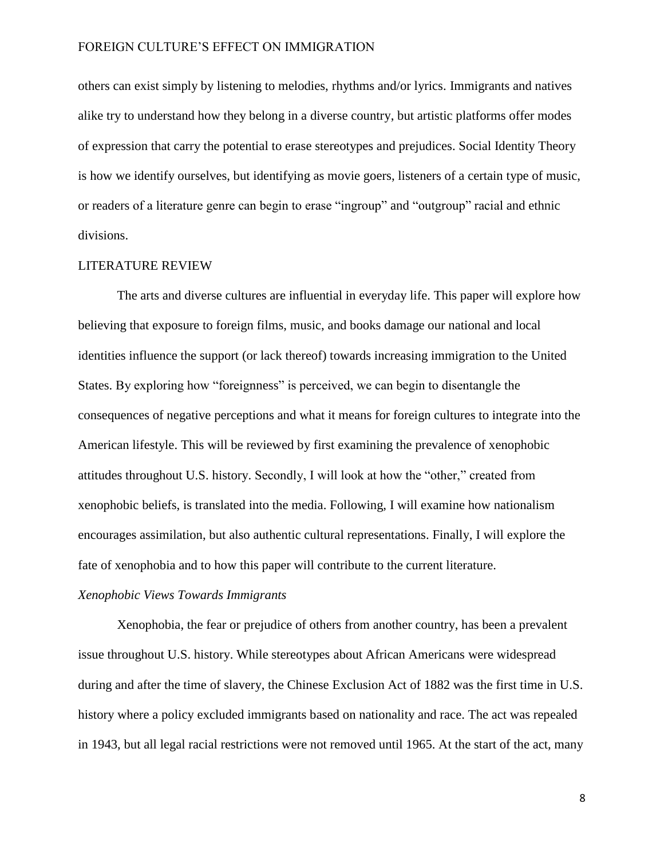others can exist simply by listening to melodies, rhythms and/or lyrics. Immigrants and natives alike try to understand how they belong in a diverse country, but artistic platforms offer modes of expression that carry the potential to erase stereotypes and prejudices. Social Identity Theory is how we identify ourselves, but identifying as movie goers, listeners of a certain type of music, or readers of a literature genre can begin to erase "ingroup" and "outgroup" racial and ethnic divisions.

#### LITERATURE REVIEW

The arts and diverse cultures are influential in everyday life. This paper will explore how believing that exposure to foreign films, music, and books damage our national and local identities influence the support (or lack thereof) towards increasing immigration to the United States. By exploring how "foreignness" is perceived, we can begin to disentangle the consequences of negative perceptions and what it means for foreign cultures to integrate into the American lifestyle. This will be reviewed by first examining the prevalence of xenophobic attitudes throughout U.S. history. Secondly, I will look at how the "other," created from xenophobic beliefs, is translated into the media. Following, I will examine how nationalism encourages assimilation, but also authentic cultural representations. Finally, I will explore the fate of xenophobia and to how this paper will contribute to the current literature.

# *Xenophobic Views Towards Immigrants*

Xenophobia, the fear or prejudice of others from another country, has been a prevalent issue throughout U.S. history. While stereotypes about African Americans were widespread during and after the time of slavery, the Chinese Exclusion Act of 1882 was the first time in U.S. history where a policy excluded immigrants based on nationality and race. The act was repealed in 1943, but all legal racial restrictions were not removed until 1965. At the start of the act, many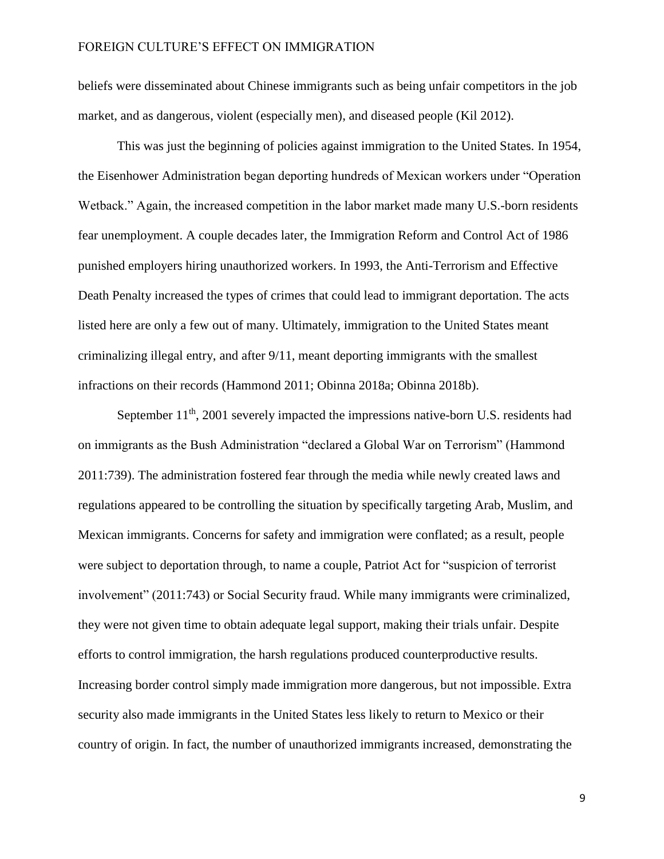beliefs were disseminated about Chinese immigrants such as being unfair competitors in the job market, and as dangerous, violent (especially men), and diseased people (Kil 2012).

This was just the beginning of policies against immigration to the United States. In 1954, the Eisenhower Administration began deporting hundreds of Mexican workers under "Operation Wetback." Again, the increased competition in the labor market made many U.S.-born residents fear unemployment. A couple decades later, the Immigration Reform and Control Act of 1986 punished employers hiring unauthorized workers. In 1993, the Anti-Terrorism and Effective Death Penalty increased the types of crimes that could lead to immigrant deportation. The acts listed here are only a few out of many. Ultimately, immigration to the United States meant criminalizing illegal entry, and after 9/11, meant deporting immigrants with the smallest infractions on their records (Hammond 2011; Obinna 2018a; Obinna 2018b).

September  $11<sup>th</sup>$ , 2001 severely impacted the impressions native-born U.S. residents had on immigrants as the Bush Administration "declared a Global War on Terrorism" (Hammond 2011:739). The administration fostered fear through the media while newly created laws and regulations appeared to be controlling the situation by specifically targeting Arab, Muslim, and Mexican immigrants. Concerns for safety and immigration were conflated; as a result, people were subject to deportation through, to name a couple, Patriot Act for "suspicion of terrorist involvement" (2011:743) or Social Security fraud. While many immigrants were criminalized, they were not given time to obtain adequate legal support, making their trials unfair. Despite efforts to control immigration, the harsh regulations produced counterproductive results. Increasing border control simply made immigration more dangerous, but not impossible. Extra security also made immigrants in the United States less likely to return to Mexico or their country of origin. In fact, the number of unauthorized immigrants increased, demonstrating the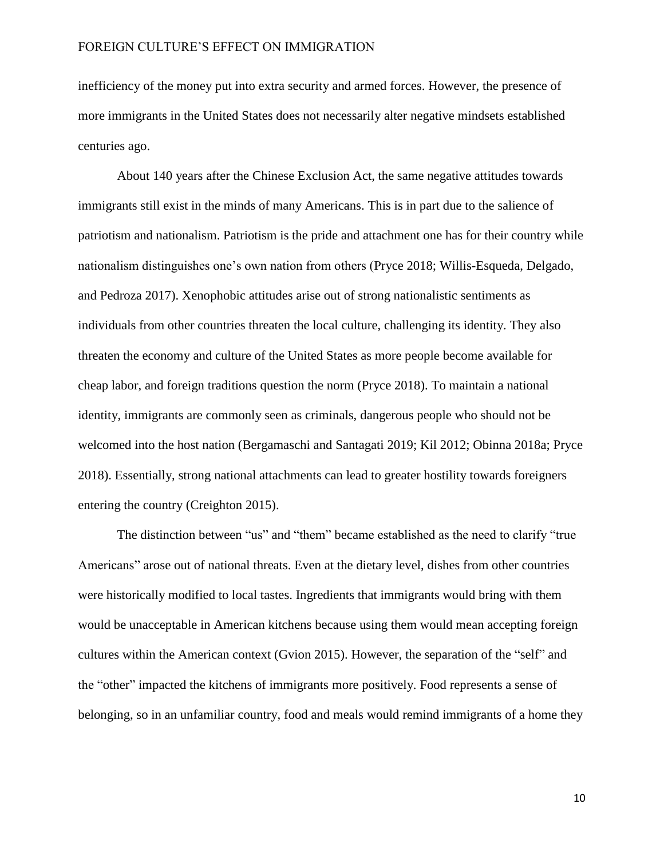inefficiency of the money put into extra security and armed forces. However, the presence of more immigrants in the United States does not necessarily alter negative mindsets established centuries ago.

About 140 years after the Chinese Exclusion Act, the same negative attitudes towards immigrants still exist in the minds of many Americans. This is in part due to the salience of patriotism and nationalism. Patriotism is the pride and attachment one has for their country while nationalism distinguishes one's own nation from others (Pryce 2018; Willis-Esqueda, Delgado, and Pedroza 2017). Xenophobic attitudes arise out of strong nationalistic sentiments as individuals from other countries threaten the local culture, challenging its identity. They also threaten the economy and culture of the United States as more people become available for cheap labor, and foreign traditions question the norm (Pryce 2018). To maintain a national identity, immigrants are commonly seen as criminals, dangerous people who should not be welcomed into the host nation (Bergamaschi and Santagati 2019; Kil 2012; Obinna 2018a; Pryce 2018). Essentially, strong national attachments can lead to greater hostility towards foreigners entering the country (Creighton 2015).

The distinction between "us" and "them" became established as the need to clarify "true Americans" arose out of national threats. Even at the dietary level, dishes from other countries were historically modified to local tastes. Ingredients that immigrants would bring with them would be unacceptable in American kitchens because using them would mean accepting foreign cultures within the American context (Gvion 2015). However, the separation of the "self" and the "other" impacted the kitchens of immigrants more positively. Food represents a sense of belonging, so in an unfamiliar country, food and meals would remind immigrants of a home they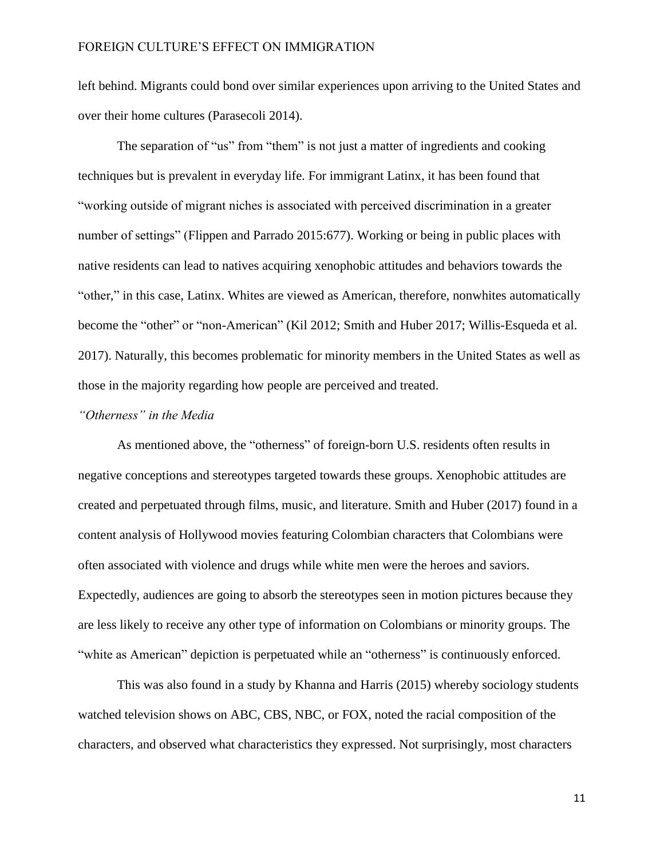left behind. Migrants could bond over similar experiences upon arriving to the United States and over their home cultures (Parasecoli 2014).

The separation of "us" from "them" is not just a matter of ingredients and cooking techniques but is prevalent in everyday life. For immigrant Latinx, it has been found that "working outside of migrant niches is associated with perceived discrimination in a greater number of settings" (Flippen and Parrado 2015:677). Working or being in public places with native residents can lead to natives acquiring xenophobic attitudes and behaviors towards the "other," in this case, Latinx. Whites are viewed as American, therefore, nonwhites automatically become the "other" or "non-American" (Kil 2012; Smith and Huber 2017; Willis-Esqueda et al. 2017). Naturally, this becomes problematic for minority members in the United States as well as those in the majority regarding how people are perceived and treated.

# *"Otherness" in the Media*

As mentioned above, the "otherness" of foreign-born U.S. residents often results in negative conceptions and stereotypes targeted towards these groups. Xenophobic attitudes are created and perpetuated through films, music, and literature. Smith and Huber (2017) found in a content analysis of Hollywood movies featuring Colombian characters that Colombians were often associated with violence and drugs while white men were the heroes and saviors. Expectedly, audiences are going to absorb the stereotypes seen in motion pictures because they are less likely to receive any other type of information on Colombians or minority groups. The "white as American" depiction is perpetuated while an "otherness" is continuously enforced.

This was also found in a study by Khanna and Harris (2015) whereby sociology students watched television shows on ABC, CBS, NBC, or FOX, noted the racial composition of the characters, and observed what characteristics they expressed. Not surprisingly, most characters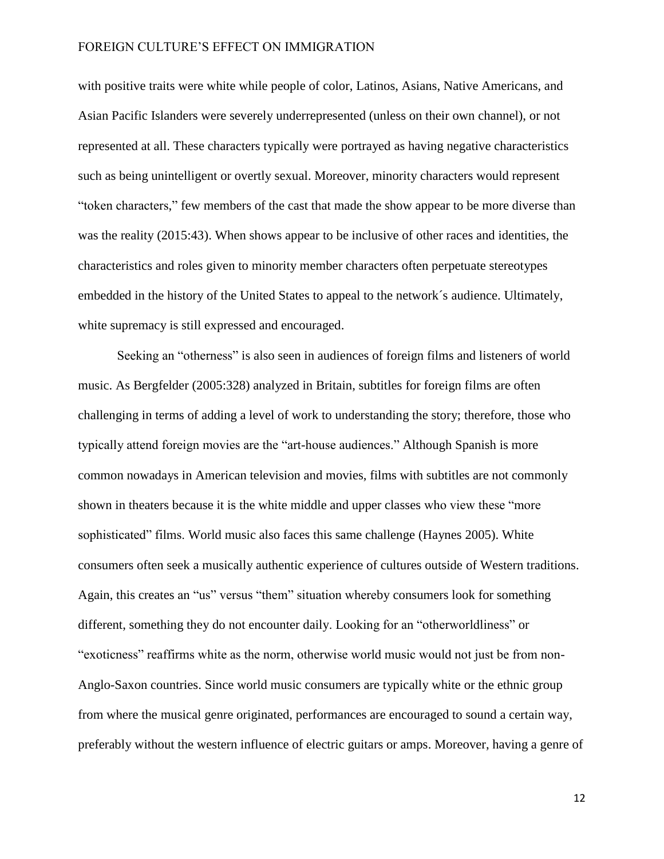with positive traits were white while people of color, Latinos, Asians, Native Americans, and Asian Pacific Islanders were severely underrepresented (unless on their own channel), or not represented at all. These characters typically were portrayed as having negative characteristics such as being unintelligent or overtly sexual. Moreover, minority characters would represent "token characters," few members of the cast that made the show appear to be more diverse than was the reality (2015:43). When shows appear to be inclusive of other races and identities, the characteristics and roles given to minority member characters often perpetuate stereotypes embedded in the history of the United States to appeal to the network´s audience. Ultimately, white supremacy is still expressed and encouraged.

Seeking an "otherness" is also seen in audiences of foreign films and listeners of world music. As Bergfelder (2005:328) analyzed in Britain, subtitles for foreign films are often challenging in terms of adding a level of work to understanding the story; therefore, those who typically attend foreign movies are the "art-house audiences." Although Spanish is more common nowadays in American television and movies, films with subtitles are not commonly shown in theaters because it is the white middle and upper classes who view these "more sophisticated" films. World music also faces this same challenge (Haynes 2005). White consumers often seek a musically authentic experience of cultures outside of Western traditions. Again, this creates an "us" versus "them" situation whereby consumers look for something different, something they do not encounter daily. Looking for an "otherworldliness" or "exoticness" reaffirms white as the norm, otherwise world music would not just be from non-Anglo-Saxon countries. Since world music consumers are typically white or the ethnic group from where the musical genre originated, performances are encouraged to sound a certain way, preferably without the western influence of electric guitars or amps. Moreover, having a genre of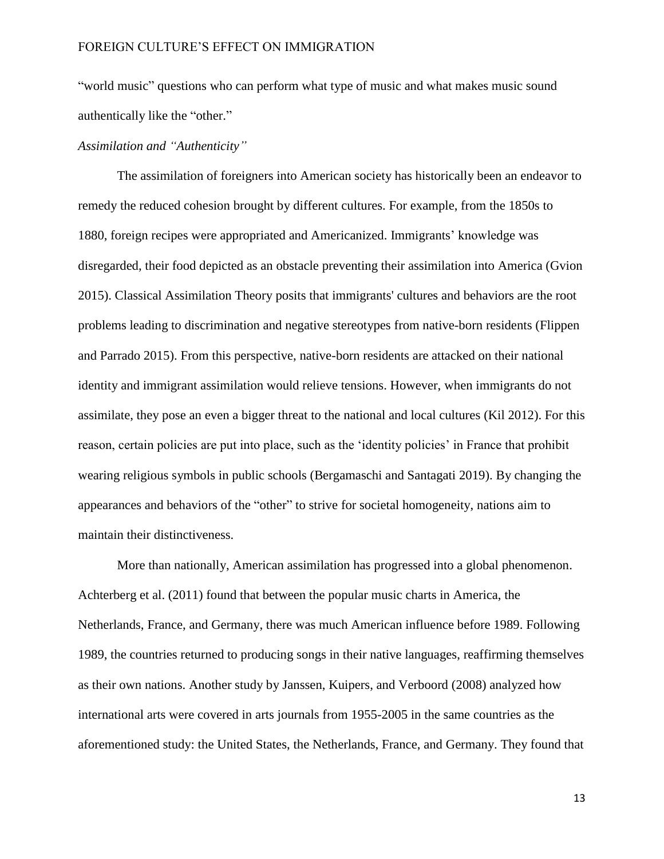"world music" questions who can perform what type of music and what makes music sound authentically like the "other."

# *Assimilation and "Authenticity"*

The assimilation of foreigners into American society has historically been an endeavor to remedy the reduced cohesion brought by different cultures. For example, from the 1850s to 1880, foreign recipes were appropriated and Americanized. Immigrants' knowledge was disregarded, their food depicted as an obstacle preventing their assimilation into America (Gvion 2015). Classical Assimilation Theory posits that immigrants' cultures and behaviors are the root problems leading to discrimination and negative stereotypes from native-born residents (Flippen and Parrado 2015). From this perspective, native-born residents are attacked on their national identity and immigrant assimilation would relieve tensions. However, when immigrants do not assimilate, they pose an even a bigger threat to the national and local cultures (Kil 2012). For this reason, certain policies are put into place, such as the 'identity policies' in France that prohibit wearing religious symbols in public schools (Bergamaschi and Santagati 2019). By changing the appearances and behaviors of the "other" to strive for societal homogeneity, nations aim to maintain their distinctiveness.

More than nationally, American assimilation has progressed into a global phenomenon. Achterberg et al. (2011) found that between the popular music charts in America, the Netherlands, France, and Germany, there was much American influence before 1989. Following 1989, the countries returned to producing songs in their native languages, reaffirming themselves as their own nations. Another study by Janssen, Kuipers, and Verboord (2008) analyzed how international arts were covered in arts journals from 1955-2005 in the same countries as the aforementioned study: the United States, the Netherlands, France, and Germany. They found that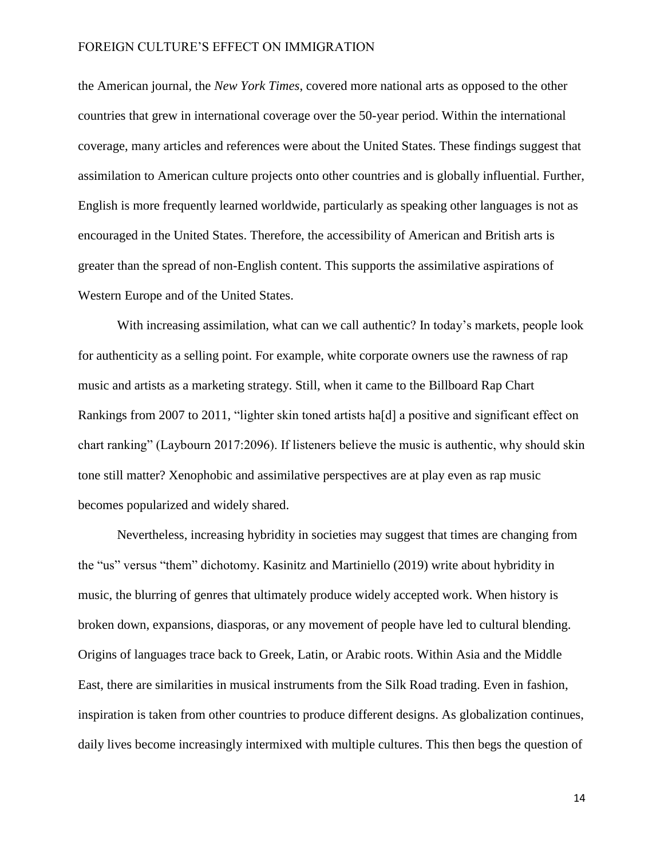the American journal, the *New York Times*, covered more national arts as opposed to the other countries that grew in international coverage over the 50-year period. Within the international coverage, many articles and references were about the United States. These findings suggest that assimilation to American culture projects onto other countries and is globally influential. Further, English is more frequently learned worldwide, particularly as speaking other languages is not as encouraged in the United States. Therefore, the accessibility of American and British arts is greater than the spread of non-English content. This supports the assimilative aspirations of Western Europe and of the United States.

With increasing assimilation, what can we call authentic? In today's markets, people look for authenticity as a selling point. For example, white corporate owners use the rawness of rap music and artists as a marketing strategy. Still, when it came to the Billboard Rap Chart Rankings from 2007 to 2011, "lighter skin toned artists ha[d] a positive and significant effect on chart ranking" (Laybourn 2017:2096). If listeners believe the music is authentic, why should skin tone still matter? Xenophobic and assimilative perspectives are at play even as rap music becomes popularized and widely shared.

Nevertheless, increasing hybridity in societies may suggest that times are changing from the "us" versus "them" dichotomy. Kasinitz and Martiniello (2019) write about hybridity in music, the blurring of genres that ultimately produce widely accepted work. When history is broken down, expansions, diasporas, or any movement of people have led to cultural blending. Origins of languages trace back to Greek, Latin, or Arabic roots. Within Asia and the Middle East, there are similarities in musical instruments from the Silk Road trading. Even in fashion, inspiration is taken from other countries to produce different designs. As globalization continues, daily lives become increasingly intermixed with multiple cultures. This then begs the question of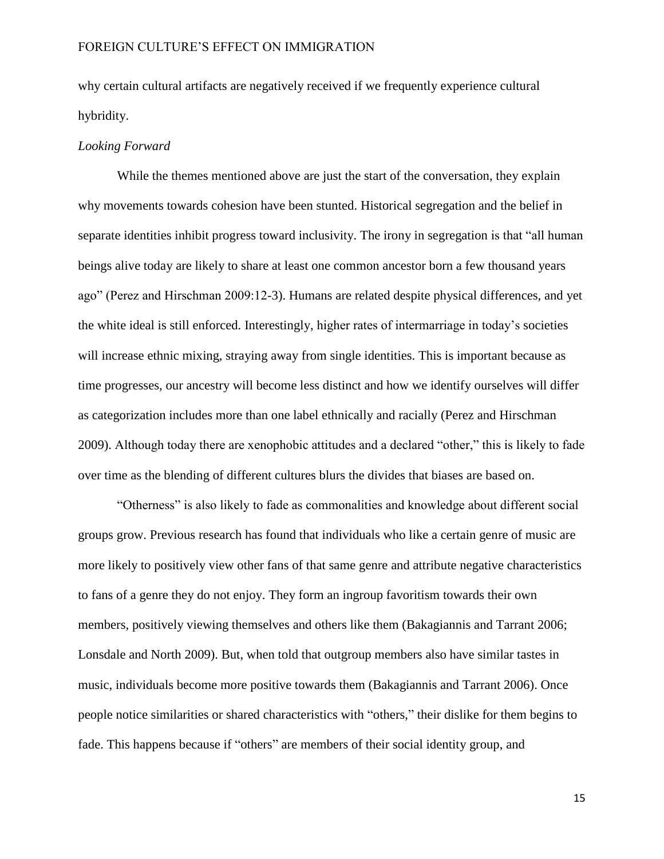why certain cultural artifacts are negatively received if we frequently experience cultural hybridity.

#### *Looking Forward*

While the themes mentioned above are just the start of the conversation, they explain why movements towards cohesion have been stunted. Historical segregation and the belief in separate identities inhibit progress toward inclusivity. The irony in segregation is that "all human beings alive today are likely to share at least one common ancestor born a few thousand years ago" (Perez and Hirschman 2009:12-3). Humans are related despite physical differences, and yet the white ideal is still enforced. Interestingly, higher rates of intermarriage in today's societies will increase ethnic mixing, straying away from single identities. This is important because as time progresses, our ancestry will become less distinct and how we identify ourselves will differ as categorization includes more than one label ethnically and racially (Perez and Hirschman 2009). Although today there are xenophobic attitudes and a declared "other," this is likely to fade over time as the blending of different cultures blurs the divides that biases are based on.

"Otherness" is also likely to fade as commonalities and knowledge about different social groups grow. Previous research has found that individuals who like a certain genre of music are more likely to positively view other fans of that same genre and attribute negative characteristics to fans of a genre they do not enjoy. They form an ingroup favoritism towards their own members, positively viewing themselves and others like them (Bakagiannis and Tarrant 2006; Lonsdale and North 2009). But, when told that outgroup members also have similar tastes in music, individuals become more positive towards them (Bakagiannis and Tarrant 2006). Once people notice similarities or shared characteristics with "others," their dislike for them begins to fade. This happens because if "others" are members of their social identity group, and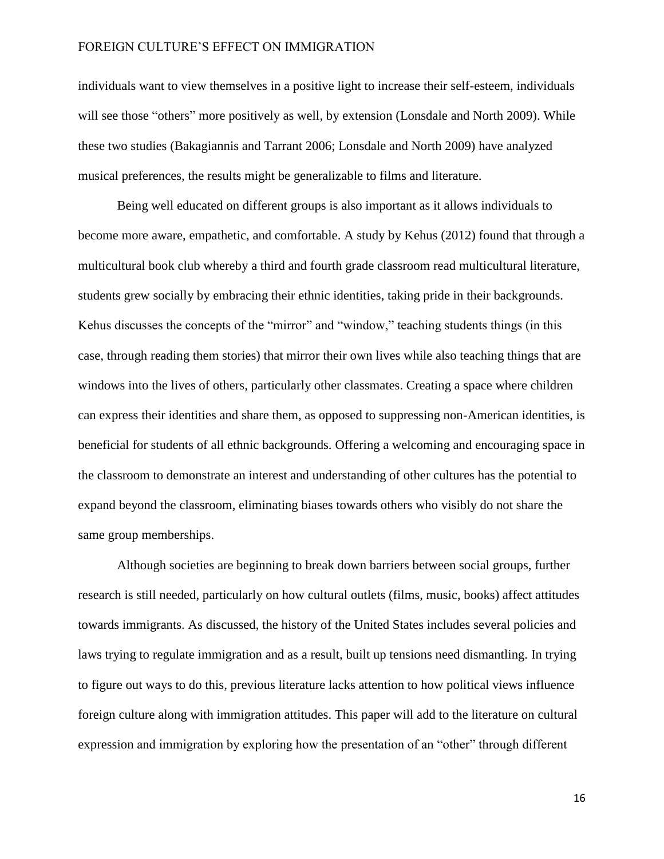individuals want to view themselves in a positive light to increase their self-esteem, individuals will see those "others" more positively as well, by extension (Lonsdale and North 2009). While these two studies (Bakagiannis and Tarrant 2006; Lonsdale and North 2009) have analyzed musical preferences, the results might be generalizable to films and literature.

Being well educated on different groups is also important as it allows individuals to become more aware, empathetic, and comfortable. A study by Kehus (2012) found that through a multicultural book club whereby a third and fourth grade classroom read multicultural literature, students grew socially by embracing their ethnic identities, taking pride in their backgrounds. Kehus discusses the concepts of the "mirror" and "window," teaching students things (in this case, through reading them stories) that mirror their own lives while also teaching things that are windows into the lives of others, particularly other classmates. Creating a space where children can express their identities and share them, as opposed to suppressing non-American identities, is beneficial for students of all ethnic backgrounds. Offering a welcoming and encouraging space in the classroom to demonstrate an interest and understanding of other cultures has the potential to expand beyond the classroom, eliminating biases towards others who visibly do not share the same group memberships.

Although societies are beginning to break down barriers between social groups, further research is still needed, particularly on how cultural outlets (films, music, books) affect attitudes towards immigrants. As discussed, the history of the United States includes several policies and laws trying to regulate immigration and as a result, built up tensions need dismantling. In trying to figure out ways to do this, previous literature lacks attention to how political views influence foreign culture along with immigration attitudes. This paper will add to the literature on cultural expression and immigration by exploring how the presentation of an "other" through different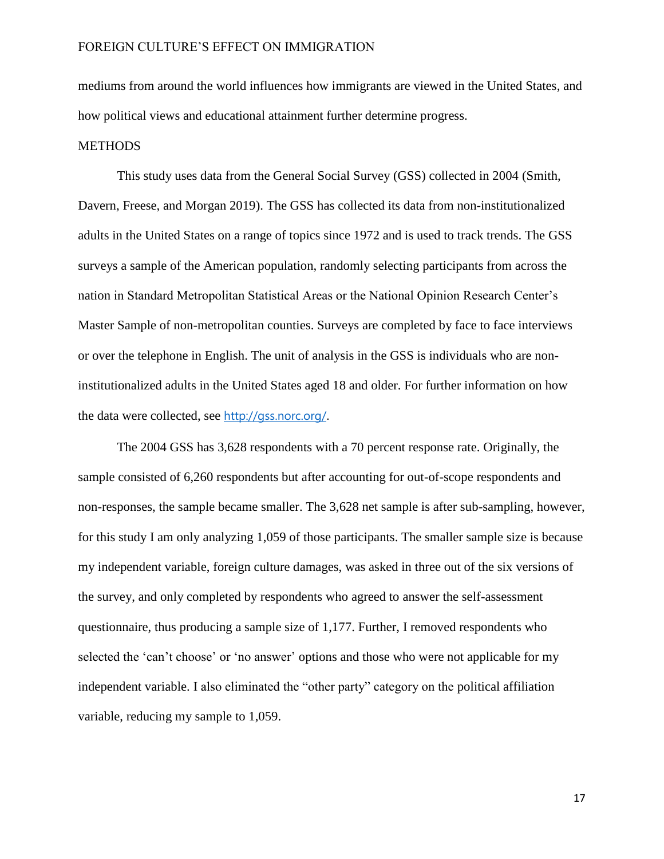mediums from around the world influences how immigrants are viewed in the United States, and how political views and educational attainment further determine progress.

#### **METHODS**

This study uses data from the General Social Survey (GSS) collected in 2004 (Smith, Davern, Freese, and Morgan 2019). The GSS has collected its data from non-institutionalized adults in the United States on a range of topics since 1972 and is used to track trends. The GSS surveys a sample of the American population, randomly selecting participants from across the nation in Standard Metropolitan Statistical Areas or the National Opinion Research Center's Master Sample of non-metropolitan counties. Surveys are completed by face to face interviews or over the telephone in English. The unit of analysis in the GSS is individuals who are noninstitutionalized adults in the United States aged 18 and older. For further information on how the data were collected, see <http://gss.norc.org/>.

The 2004 GSS has 3,628 respondents with a 70 percent response rate. Originally, the sample consisted of 6,260 respondents but after accounting for out-of-scope respondents and non-responses, the sample became smaller. The 3,628 net sample is after sub-sampling, however, for this study I am only analyzing 1,059 of those participants. The smaller sample size is because my independent variable, foreign culture damages, was asked in three out of the six versions of the survey, and only completed by respondents who agreed to answer the self-assessment questionnaire, thus producing a sample size of 1,177. Further, I removed respondents who selected the 'can't choose' or 'no answer' options and those who were not applicable for my independent variable. I also eliminated the "other party" category on the political affiliation variable, reducing my sample to 1,059.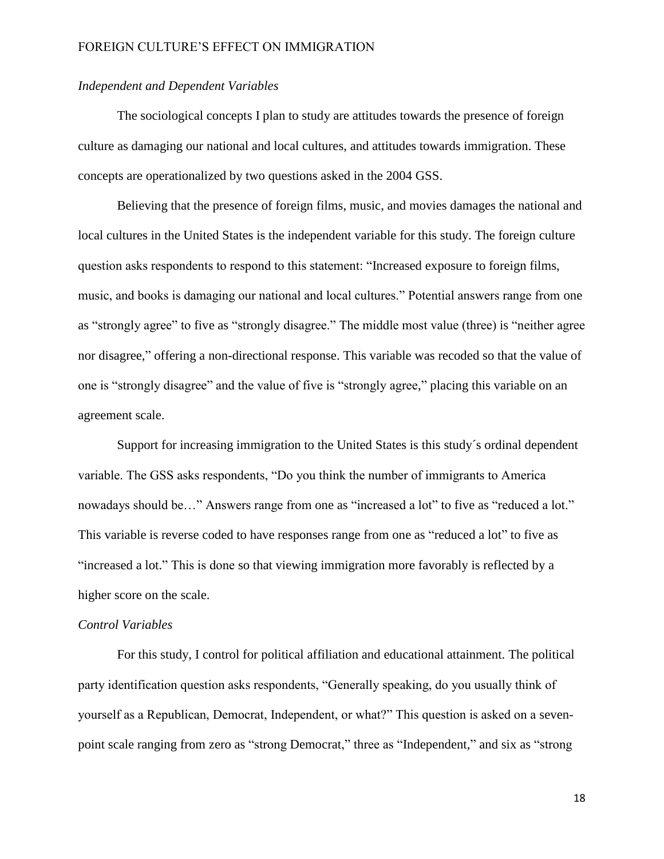# *Independent and Dependent Variables*

The sociological concepts I plan to study are attitudes towards the presence of foreign culture as damaging our national and local cultures, and attitudes towards immigration. These concepts are operationalized by two questions asked in the 2004 GSS.

Believing that the presence of foreign films, music, and movies damages the national and local cultures in the United States is the independent variable for this study. The foreign culture question asks respondents to respond to this statement: "Increased exposure to foreign films, music, and books is damaging our national and local cultures." Potential answers range from one as "strongly agree" to five as "strongly disagree." The middle most value (three) is "neither agree nor disagree," offering a non-directional response. This variable was recoded so that the value of one is "strongly disagree" and the value of five is "strongly agree," placing this variable on an agreement scale.

Support for increasing immigration to the United States is this study´s ordinal dependent variable. The GSS asks respondents, "Do you think the number of immigrants to America nowadays should be…" Answers range from one as "increased a lot" to five as "reduced a lot." This variable is reverse coded to have responses range from one as "reduced a lot" to five as "increased a lot." This is done so that viewing immigration more favorably is reflected by a higher score on the scale.

#### *Control Variables*

For this study, I control for political affiliation and educational attainment. The political party identification question asks respondents, "Generally speaking, do you usually think of yourself as a Republican, Democrat, Independent, or what?" This question is asked on a sevenpoint scale ranging from zero as "strong Democrat," three as "Independent," and six as "strong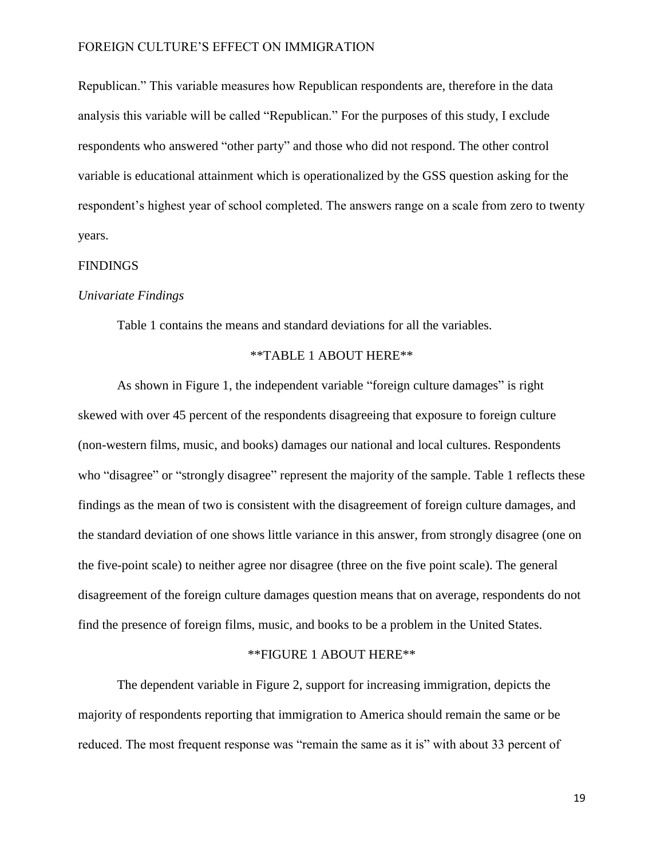Republican." This variable measures how Republican respondents are, therefore in the data analysis this variable will be called "Republican." For the purposes of this study, I exclude respondents who answered "other party" and those who did not respond. The other control variable is educational attainment which is operationalized by the GSS question asking for the respondent's highest year of school completed. The answers range on a scale from zero to twenty years.

#### FINDINGS

#### *Univariate Findings*

Table 1 contains the means and standard deviations for all the variables.

#### \*\*TABLE 1 ABOUT HERE\*\*

As shown in Figure 1, the independent variable "foreign culture damages" is right skewed with over 45 percent of the respondents disagreeing that exposure to foreign culture (non-western films, music, and books) damages our national and local cultures. Respondents who "disagree" or "strongly disagree" represent the majority of the sample. Table 1 reflects these findings as the mean of two is consistent with the disagreement of foreign culture damages, and the standard deviation of one shows little variance in this answer, from strongly disagree (one on the five-point scale) to neither agree nor disagree (three on the five point scale). The general disagreement of the foreign culture damages question means that on average, respondents do not find the presence of foreign films, music, and books to be a problem in the United States.

# \*\*FIGURE 1 ABOUT HERE\*\*

The dependent variable in Figure 2, support for increasing immigration, depicts the majority of respondents reporting that immigration to America should remain the same or be reduced. The most frequent response was "remain the same as it is" with about 33 percent of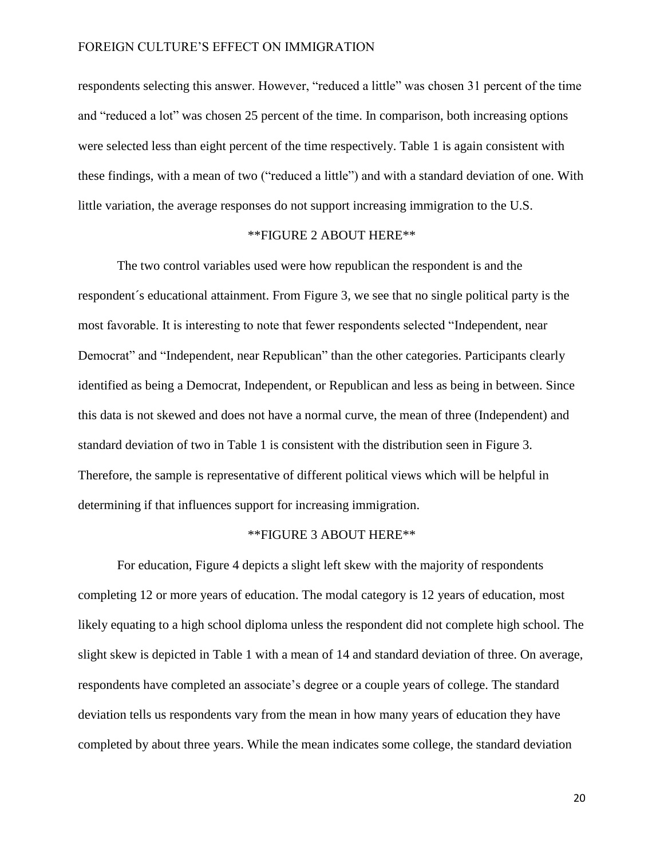respondents selecting this answer. However, "reduced a little" was chosen 31 percent of the time and "reduced a lot" was chosen 25 percent of the time. In comparison, both increasing options were selected less than eight percent of the time respectively. Table 1 is again consistent with these findings, with a mean of two ("reduced a little") and with a standard deviation of one. With little variation, the average responses do not support increasing immigration to the U.S.

# \*\*FIGURE 2 ABOUT HERE\*\*

The two control variables used were how republican the respondent is and the respondent´s educational attainment. From Figure 3, we see that no single political party is the most favorable. It is interesting to note that fewer respondents selected "Independent, near Democrat" and "Independent, near Republican" than the other categories. Participants clearly identified as being a Democrat, Independent, or Republican and less as being in between. Since this data is not skewed and does not have a normal curve, the mean of three (Independent) and standard deviation of two in Table 1 is consistent with the distribution seen in Figure 3. Therefore, the sample is representative of different political views which will be helpful in determining if that influences support for increasing immigration.

# \*\*FIGURE 3 ABOUT HERE\*\*

For education, Figure 4 depicts a slight left skew with the majority of respondents completing 12 or more years of education. The modal category is 12 years of education, most likely equating to a high school diploma unless the respondent did not complete high school. The slight skew is depicted in Table 1 with a mean of 14 and standard deviation of three. On average, respondents have completed an associate's degree or a couple years of college. The standard deviation tells us respondents vary from the mean in how many years of education they have completed by about three years. While the mean indicates some college, the standard deviation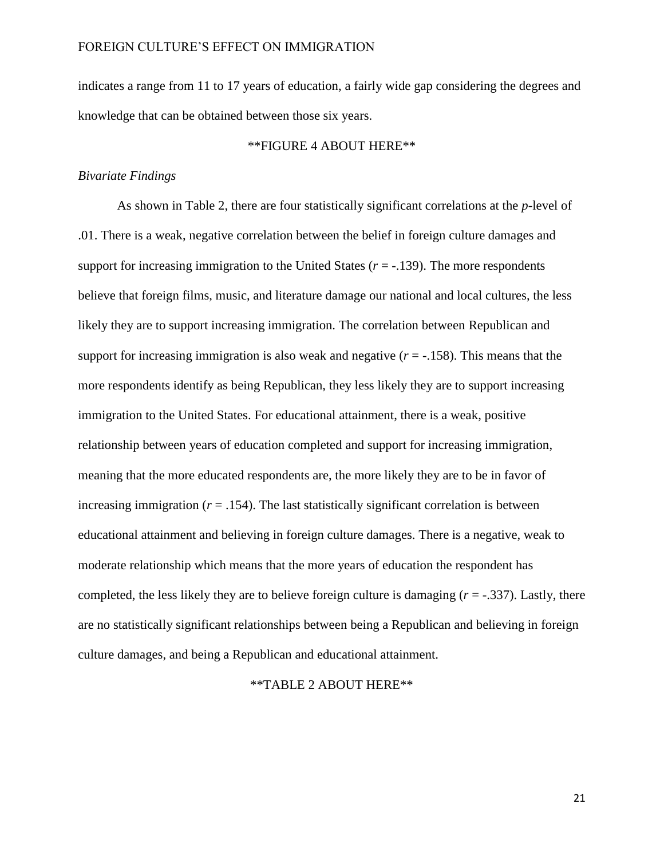indicates a range from 11 to 17 years of education, a fairly wide gap considering the degrees and knowledge that can be obtained between those six years.

# \*\*FIGURE 4 ABOUT HERE\*\*

# *Bivariate Findings*

As shown in Table 2, there are four statistically significant correlations at the *p-*level of .01. There is a weak, negative correlation between the belief in foreign culture damages and support for increasing immigration to the United States (*r* = -.139). The more respondents believe that foreign films, music, and literature damage our national and local cultures, the less likely they are to support increasing immigration. The correlation between Republican and support for increasing immigration is also weak and negative  $(r = -158)$ . This means that the more respondents identify as being Republican, they less likely they are to support increasing immigration to the United States. For educational attainment, there is a weak, positive relationship between years of education completed and support for increasing immigration, meaning that the more educated respondents are, the more likely they are to be in favor of increasing immigration  $(r = .154)$ . The last statistically significant correlation is between educational attainment and believing in foreign culture damages. There is a negative, weak to moderate relationship which means that the more years of education the respondent has completed, the less likely they are to believe foreign culture is damaging  $(r = -.337)$ . Lastly, there are no statistically significant relationships between being a Republican and believing in foreign culture damages, and being a Republican and educational attainment.

\*\*TABLE 2 ABOUT HERE\*\*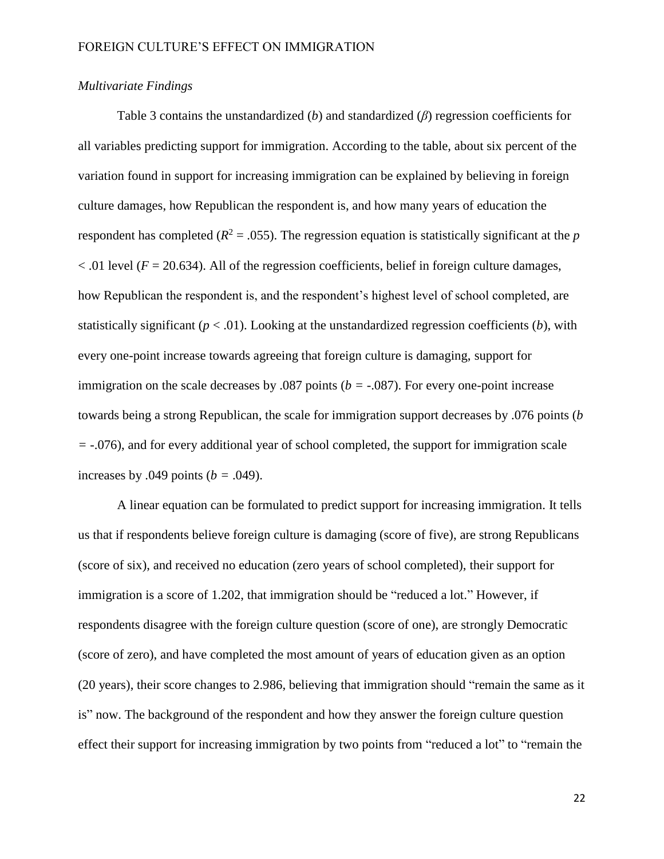# *Multivariate Findings*

Table 3 contains the unstandardized (*b*) and standardized (*β*) regression coefficients for all variables predicting support for immigration. According to the table, about six percent of the variation found in support for increasing immigration can be explained by believing in foreign culture damages, how Republican the respondent is, and how many years of education the respondent has completed ( $R^2 = .055$ ). The regression equation is statistically significant at the *p*  $<$ .01 level ( $F = 20.634$ ). All of the regression coefficients, belief in foreign culture damages, how Republican the respondent is, and the respondent's highest level of school completed, are statistically significant  $(p < .01)$ . Looking at the unstandardized regression coefficients  $(b)$ , with every one-point increase towards agreeing that foreign culture is damaging, support for immigration on the scale decreases by .087 points (*b =* -.087). For every one-point increase towards being a strong Republican, the scale for immigration support decreases by .076 points (*b =* -.076), and for every additional year of school completed, the support for immigration scale increases by .049 points  $(b = .049)$ .

A linear equation can be formulated to predict support for increasing immigration. It tells us that if respondents believe foreign culture is damaging (score of five), are strong Republicans (score of six), and received no education (zero years of school completed), their support for immigration is a score of 1.202, that immigration should be "reduced a lot." However, if respondents disagree with the foreign culture question (score of one), are strongly Democratic (score of zero), and have completed the most amount of years of education given as an option (20 years), their score changes to 2.986, believing that immigration should "remain the same as it is" now. The background of the respondent and how they answer the foreign culture question effect their support for increasing immigration by two points from "reduced a lot" to "remain the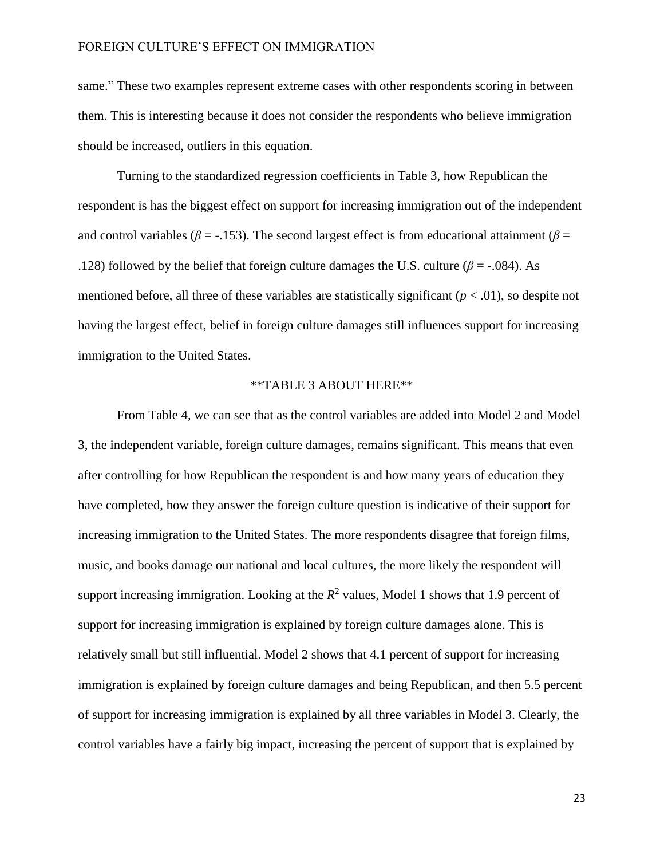same." These two examples represent extreme cases with other respondents scoring in between them. This is interesting because it does not consider the respondents who believe immigration should be increased, outliers in this equation.

Turning to the standardized regression coefficients in Table 3, how Republican the respondent is has the biggest effect on support for increasing immigration out of the independent and control variables ( $\beta$  = -.153). The second largest effect is from educational attainment ( $\beta$  = .128) followed by the belief that foreign culture damages the U.S. culture ( $\beta$  = -.084). As mentioned before, all three of these variables are statistically significant  $(p < .01)$ , so despite not having the largest effect, belief in foreign culture damages still influences support for increasing immigration to the United States.

# \*\*TABLE 3 ABOUT HERE\*\*

From Table 4, we can see that as the control variables are added into Model 2 and Model 3, the independent variable, foreign culture damages, remains significant. This means that even after controlling for how Republican the respondent is and how many years of education they have completed, how they answer the foreign culture question is indicative of their support for increasing immigration to the United States. The more respondents disagree that foreign films, music, and books damage our national and local cultures, the more likely the respondent will support increasing immigration. Looking at the  $R^2$  values, Model 1 shows that 1.9 percent of support for increasing immigration is explained by foreign culture damages alone. This is relatively small but still influential. Model 2 shows that 4.1 percent of support for increasing immigration is explained by foreign culture damages and being Republican, and then 5.5 percent of support for increasing immigration is explained by all three variables in Model 3. Clearly, the control variables have a fairly big impact, increasing the percent of support that is explained by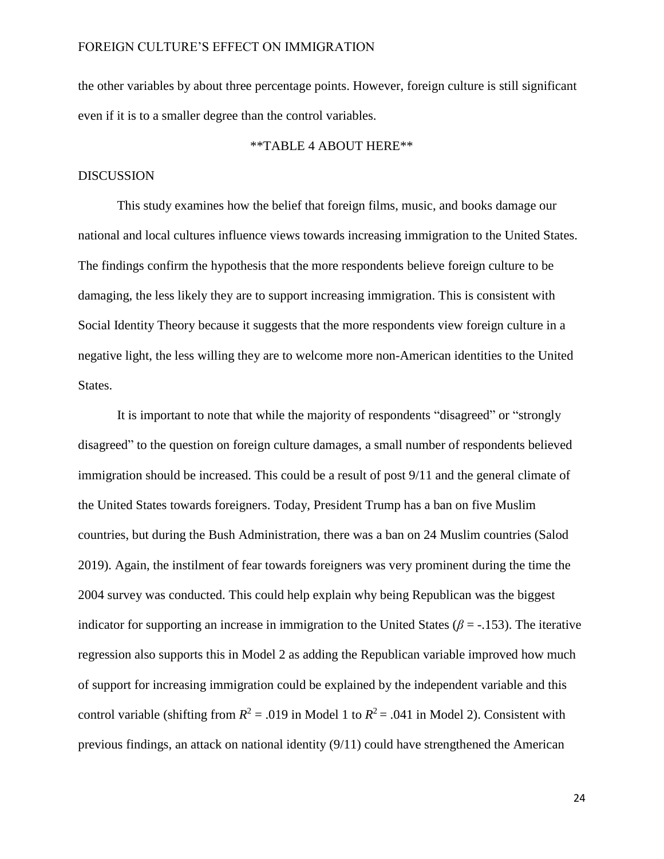the other variables by about three percentage points. However, foreign culture is still significant even if it is to a smaller degree than the control variables.

# \*\*TABLE 4 ABOUT HERE\*\*

# **DISCUSSION**

This study examines how the belief that foreign films, music, and books damage our national and local cultures influence views towards increasing immigration to the United States. The findings confirm the hypothesis that the more respondents believe foreign culture to be damaging, the less likely they are to support increasing immigration. This is consistent with Social Identity Theory because it suggests that the more respondents view foreign culture in a negative light, the less willing they are to welcome more non-American identities to the United States.

It is important to note that while the majority of respondents "disagreed" or "strongly disagreed" to the question on foreign culture damages, a small number of respondents believed immigration should be increased. This could be a result of post 9/11 and the general climate of the United States towards foreigners. Today, President Trump has a ban on five Muslim countries, but during the Bush Administration, there was a ban on 24 Muslim countries (Salod 2019). Again, the instilment of fear towards foreigners was very prominent during the time the 2004 survey was conducted. This could help explain why being Republican was the biggest indicator for supporting an increase in immigration to the United States ( $\beta$  = -.153). The iterative regression also supports this in Model 2 as adding the Republican variable improved how much of support for increasing immigration could be explained by the independent variable and this control variable (shifting from  $R^2 = .019$  in Model 1 to  $R^2 = .041$  in Model 2). Consistent with previous findings, an attack on national identity (9/11) could have strengthened the American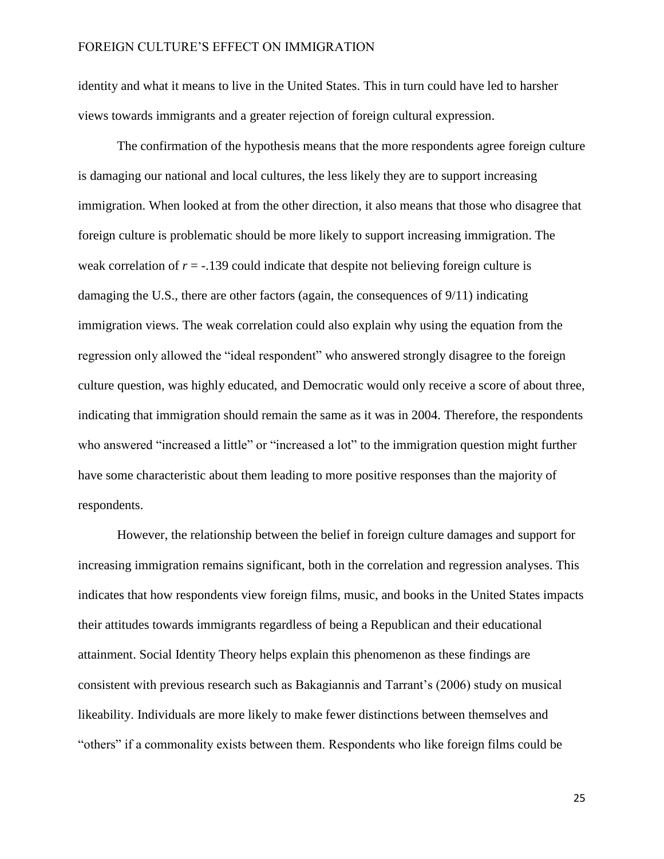identity and what it means to live in the United States. This in turn could have led to harsher views towards immigrants and a greater rejection of foreign cultural expression.

The confirmation of the hypothesis means that the more respondents agree foreign culture is damaging our national and local cultures, the less likely they are to support increasing immigration. When looked at from the other direction, it also means that those who disagree that foreign culture is problematic should be more likely to support increasing immigration. The weak correlation of *r* = -.139 could indicate that despite not believing foreign culture is damaging the U.S., there are other factors (again, the consequences of 9/11) indicating immigration views. The weak correlation could also explain why using the equation from the regression only allowed the "ideal respondent" who answered strongly disagree to the foreign culture question, was highly educated, and Democratic would only receive a score of about three, indicating that immigration should remain the same as it was in 2004. Therefore, the respondents who answered "increased a little" or "increased a lot" to the immigration question might further have some characteristic about them leading to more positive responses than the majority of respondents.

However, the relationship between the belief in foreign culture damages and support for increasing immigration remains significant, both in the correlation and regression analyses. This indicates that how respondents view foreign films, music, and books in the United States impacts their attitudes towards immigrants regardless of being a Republican and their educational attainment. Social Identity Theory helps explain this phenomenon as these findings are consistent with previous research such as Bakagiannis and Tarrant's (2006) study on musical likeability. Individuals are more likely to make fewer distinctions between themselves and "others" if a commonality exists between them. Respondents who like foreign films could be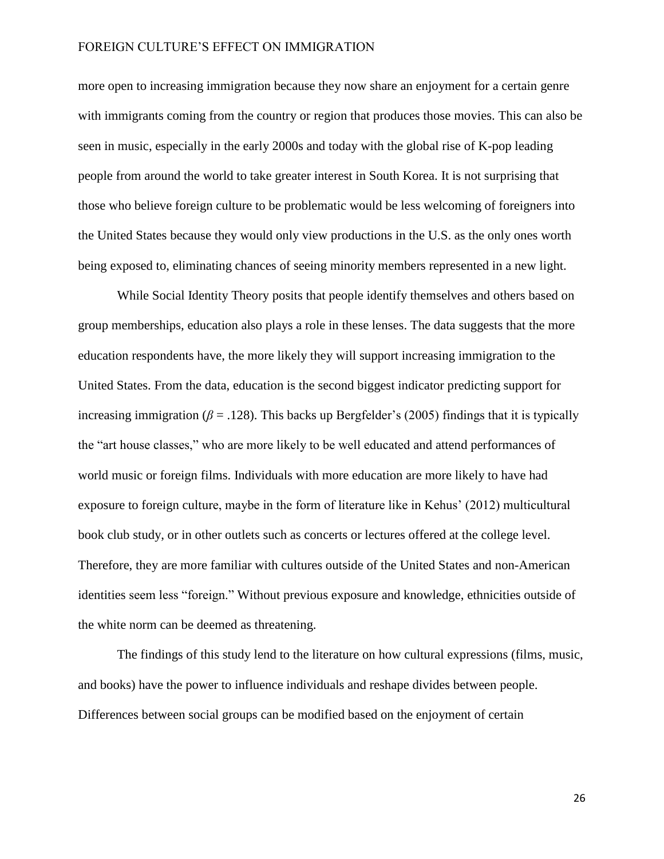more open to increasing immigration because they now share an enjoyment for a certain genre with immigrants coming from the country or region that produces those movies. This can also be seen in music, especially in the early 2000s and today with the global rise of K-pop leading people from around the world to take greater interest in South Korea. It is not surprising that those who believe foreign culture to be problematic would be less welcoming of foreigners into the United States because they would only view productions in the U.S. as the only ones worth being exposed to, eliminating chances of seeing minority members represented in a new light.

While Social Identity Theory posits that people identify themselves and others based on group memberships, education also plays a role in these lenses. The data suggests that the more education respondents have, the more likely they will support increasing immigration to the United States. From the data, education is the second biggest indicator predicting support for increasing immigration  $(\beta = .128)$ . This backs up Bergfelder's (2005) findings that it is typically the "art house classes," who are more likely to be well educated and attend performances of world music or foreign films. Individuals with more education are more likely to have had exposure to foreign culture, maybe in the form of literature like in Kehus' (2012) multicultural book club study, or in other outlets such as concerts or lectures offered at the college level. Therefore, they are more familiar with cultures outside of the United States and non-American identities seem less "foreign." Without previous exposure and knowledge, ethnicities outside of the white norm can be deemed as threatening.

The findings of this study lend to the literature on how cultural expressions (films, music, and books) have the power to influence individuals and reshape divides between people. Differences between social groups can be modified based on the enjoyment of certain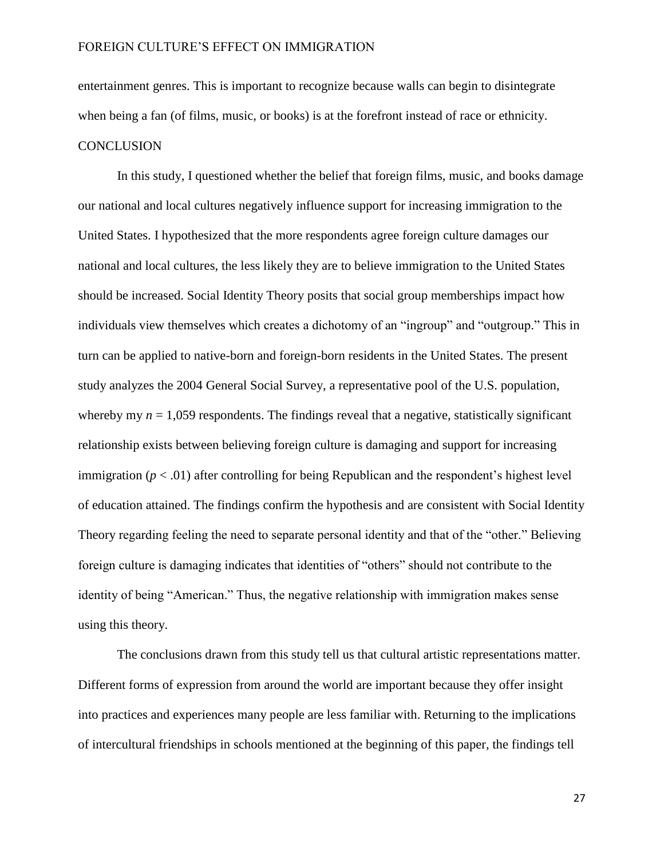entertainment genres. This is important to recognize because walls can begin to disintegrate when being a fan (of films, music, or books) is at the forefront instead of race or ethnicity. **CONCLUSION** 

In this study, I questioned whether the belief that foreign films, music, and books damage our national and local cultures negatively influence support for increasing immigration to the United States. I hypothesized that the more respondents agree foreign culture damages our national and local cultures, the less likely they are to believe immigration to the United States should be increased. Social Identity Theory posits that social group memberships impact how individuals view themselves which creates a dichotomy of an "ingroup" and "outgroup." This in turn can be applied to native-born and foreign-born residents in the United States. The present study analyzes the 2004 General Social Survey, a representative pool of the U.S. population, whereby my  $n = 1,059$  respondents. The findings reveal that a negative, statistically significant relationship exists between believing foreign culture is damaging and support for increasing immigration  $(p < .01)$  after controlling for being Republican and the respondent's highest level of education attained. The findings confirm the hypothesis and are consistent with Social Identity Theory regarding feeling the need to separate personal identity and that of the "other." Believing foreign culture is damaging indicates that identities of "others" should not contribute to the identity of being "American." Thus, the negative relationship with immigration makes sense using this theory.

The conclusions drawn from this study tell us that cultural artistic representations matter. Different forms of expression from around the world are important because they offer insight into practices and experiences many people are less familiar with. Returning to the implications of intercultural friendships in schools mentioned at the beginning of this paper, the findings tell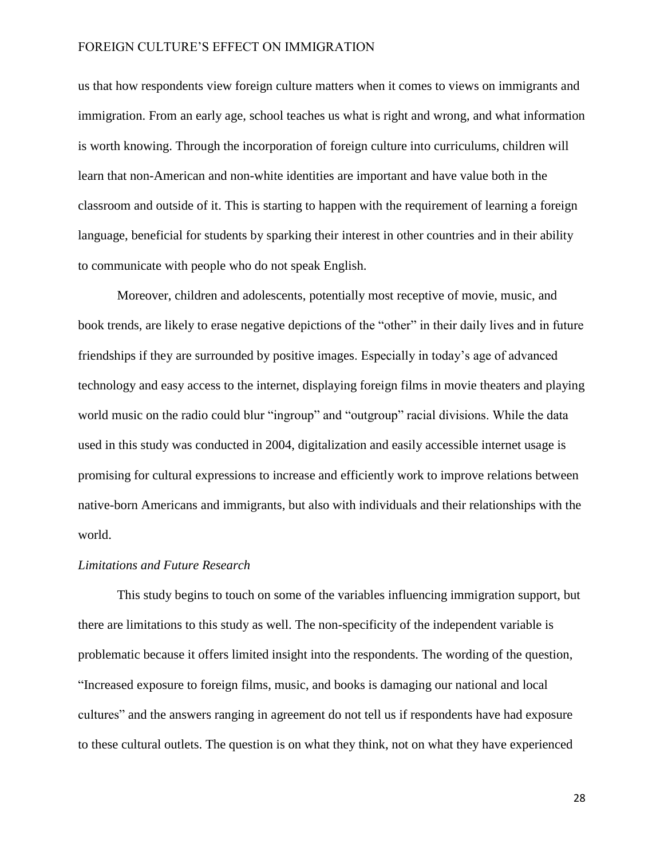us that how respondents view foreign culture matters when it comes to views on immigrants and immigration. From an early age, school teaches us what is right and wrong, and what information is worth knowing. Through the incorporation of foreign culture into curriculums, children will learn that non-American and non-white identities are important and have value both in the classroom and outside of it. This is starting to happen with the requirement of learning a foreign language, beneficial for students by sparking their interest in other countries and in their ability to communicate with people who do not speak English.

Moreover, children and adolescents, potentially most receptive of movie, music, and book trends, are likely to erase negative depictions of the "other" in their daily lives and in future friendships if they are surrounded by positive images. Especially in today's age of advanced technology and easy access to the internet, displaying foreign films in movie theaters and playing world music on the radio could blur "ingroup" and "outgroup" racial divisions. While the data used in this study was conducted in 2004, digitalization and easily accessible internet usage is promising for cultural expressions to increase and efficiently work to improve relations between native-born Americans and immigrants, but also with individuals and their relationships with the world.

#### *Limitations and Future Research*

This study begins to touch on some of the variables influencing immigration support, but there are limitations to this study as well. The non-specificity of the independent variable is problematic because it offers limited insight into the respondents. The wording of the question, "Increased exposure to foreign films, music, and books is damaging our national and local cultures" and the answers ranging in agreement do not tell us if respondents have had exposure to these cultural outlets. The question is on what they think, not on what they have experienced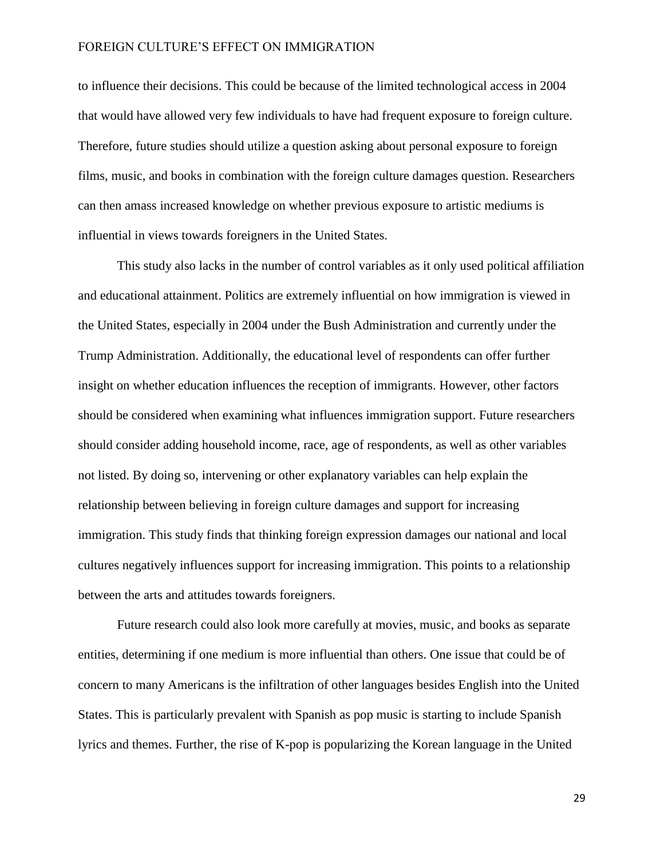to influence their decisions. This could be because of the limited technological access in 2004 that would have allowed very few individuals to have had frequent exposure to foreign culture. Therefore, future studies should utilize a question asking about personal exposure to foreign films, music, and books in combination with the foreign culture damages question. Researchers can then amass increased knowledge on whether previous exposure to artistic mediums is influential in views towards foreigners in the United States.

This study also lacks in the number of control variables as it only used political affiliation and educational attainment. Politics are extremely influential on how immigration is viewed in the United States, especially in 2004 under the Bush Administration and currently under the Trump Administration. Additionally, the educational level of respondents can offer further insight on whether education influences the reception of immigrants. However, other factors should be considered when examining what influences immigration support. Future researchers should consider adding household income, race, age of respondents, as well as other variables not listed. By doing so, intervening or other explanatory variables can help explain the relationship between believing in foreign culture damages and support for increasing immigration. This study finds that thinking foreign expression damages our national and local cultures negatively influences support for increasing immigration. This points to a relationship between the arts and attitudes towards foreigners.

Future research could also look more carefully at movies, music, and books as separate entities, determining if one medium is more influential than others. One issue that could be of concern to many Americans is the infiltration of other languages besides English into the United States. This is particularly prevalent with Spanish as pop music is starting to include Spanish lyrics and themes. Further, the rise of K-pop is popularizing the Korean language in the United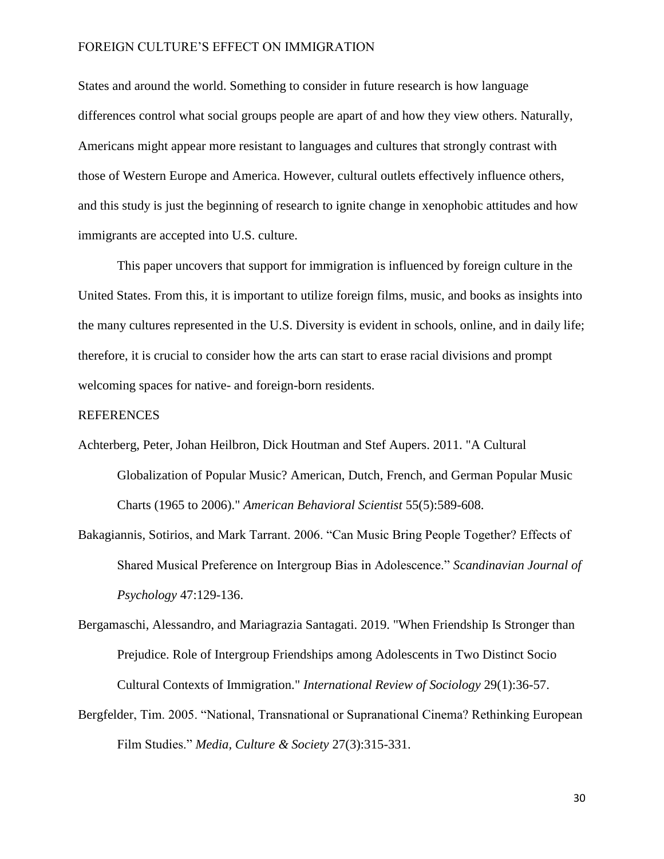States and around the world. Something to consider in future research is how language differences control what social groups people are apart of and how they view others. Naturally, Americans might appear more resistant to languages and cultures that strongly contrast with those of Western Europe and America. However, cultural outlets effectively influence others, and this study is just the beginning of research to ignite change in xenophobic attitudes and how immigrants are accepted into U.S. culture.

This paper uncovers that support for immigration is influenced by foreign culture in the United States. From this, it is important to utilize foreign films, music, and books as insights into the many cultures represented in the U.S. Diversity is evident in schools, online, and in daily life; therefore, it is crucial to consider how the arts can start to erase racial divisions and prompt welcoming spaces for native- and foreign-born residents.

#### REFERENCES

- Achterberg, Peter, Johan Heilbron, Dick Houtman and Stef Aupers. 2011. "A Cultural Globalization of Popular Music? American, Dutch, French, and German Popular Music Charts (1965 to 2006)." *American Behavioral Scientist* 55(5):589-608.
- Bakagiannis, Sotirios, and Mark Tarrant. 2006. "Can Music Bring People Together? Effects of Shared Musical Preference on Intergroup Bias in Adolescence." *Scandinavian Journal of Psychology* 47:129-136.
- Bergamaschi, Alessandro, and Mariagrazia Santagati. 2019. "When Friendship Is Stronger than Prejudice. Role of Intergroup Friendships among Adolescents in Two Distinct Socio Cultural Contexts of Immigration." *International Review of Sociology* 29(1):36-57.
- Bergfelder, Tim. 2005. "National, Transnational or Supranational Cinema? Rethinking European Film Studies." *Media, Culture & Society* 27(3):315-331.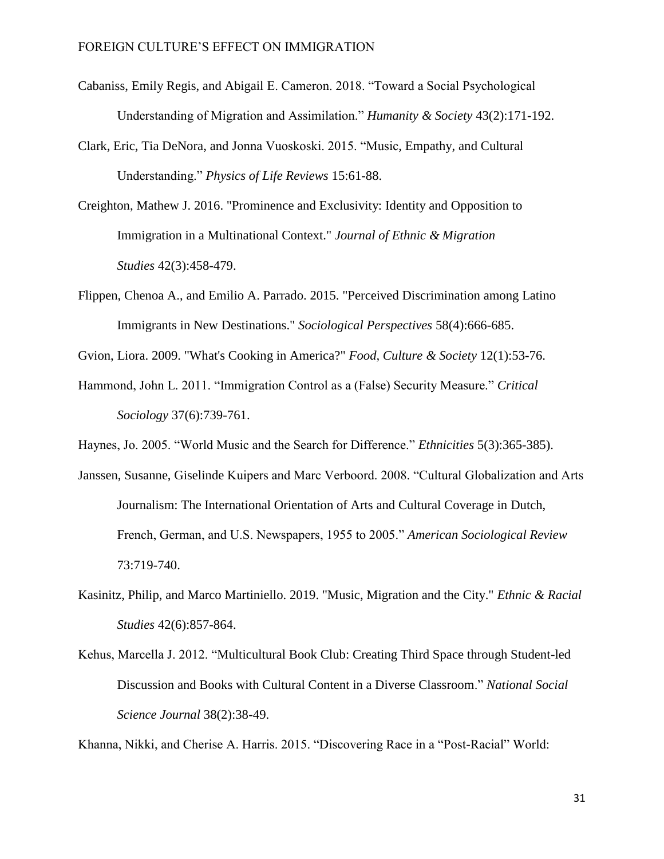- Cabaniss, Emily Regis, and Abigail E. Cameron. 2018. "Toward a Social Psychological Understanding of Migration and Assimilation." *Humanity & Society* 43(2):171-192.
- Clark, Eric, Tia DeNora, and Jonna Vuoskoski. 2015. "Music, Empathy, and Cultural Understanding." *Physics of Life Reviews* 15:61-88.
- Creighton, Mathew J. 2016. "Prominence and Exclusivity: Identity and Opposition to Immigration in a Multinational Context." *Journal of Ethnic & Migration Studies* 42(3):458-479.
- Flippen, Chenoa A., and Emilio A. Parrado. 2015. "Perceived Discrimination among Latino Immigrants in New Destinations." *Sociological Perspectives* 58(4):666-685.
- Gvion, Liora. 2009. "What's Cooking in America?" *Food, Culture & Society* 12(1):53-76.
- Hammond, John L. 2011. "Immigration Control as a (False) Security Measure." *Critical Sociology* 37(6):739-761.
- Haynes, Jo. 2005. "World Music and the Search for Difference." *Ethnicities* 5(3):365-385).
- Janssen, Susanne, Giselinde Kuipers and Marc Verboord. 2008. "Cultural Globalization and Arts Journalism: The International Orientation of Arts and Cultural Coverage in Dutch, French, German, and U.S. Newspapers, 1955 to 2005." *American Sociological Review*  73:719-740.
- Kasinitz, Philip, and Marco Martiniello. 2019. "Music, Migration and the City." *Ethnic & Racial Studies* 42(6):857-864.
- Kehus, Marcella J. 2012. "Multicultural Book Club: Creating Third Space through Student-led Discussion and Books with Cultural Content in a Diverse Classroom." *National Social Science Journal* 38(2):38-49.

Khanna, Nikki, and Cherise A. Harris. 2015. "Discovering Race in a "Post-Racial" World: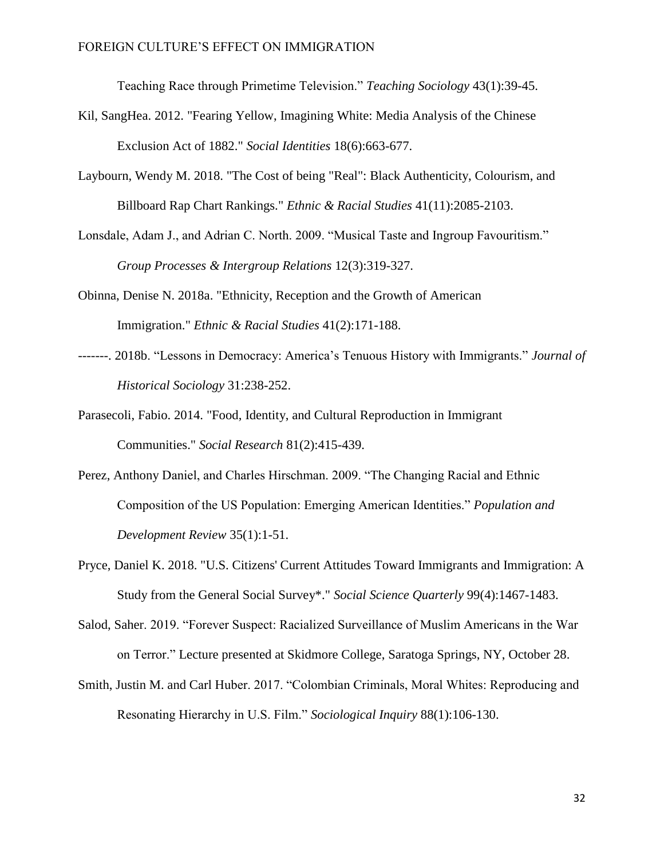Teaching Race through Primetime Television." *Teaching Sociology* 43(1):39-45.

- Kil, SangHea. 2012. "Fearing Yellow, Imagining White: Media Analysis of the Chinese Exclusion Act of 1882." *Social Identities* 18(6):663-677.
- Laybourn, Wendy M. 2018. "The Cost of being "Real": Black Authenticity, Colourism, and Billboard Rap Chart Rankings." *Ethnic & Racial Studies* 41(11):2085-2103.
- Lonsdale, Adam J., and Adrian C. North. 2009. "Musical Taste and Ingroup Favouritism." *Group Processes & Intergroup Relations* 12(3):319-327.
- Obinna, Denise N. 2018a. "Ethnicity, Reception and the Growth of American Immigration." *Ethnic & Racial Studies* 41(2):171-188.
- -------. 2018b. "Lessons in Democracy: America's Tenuous History with Immigrants." *Journal of Historical Sociology* 31:238-252.
- Parasecoli, Fabio. 2014. "Food, Identity, and Cultural Reproduction in Immigrant Communities." *Social Research* 81(2):415-439.
- Perez, Anthony Daniel, and Charles Hirschman. 2009. "The Changing Racial and Ethnic Composition of the US Population: Emerging American Identities." *Population and Development Review* 35(1):1-51.
- Pryce, Daniel K. 2018. "U.S. Citizens' Current Attitudes Toward Immigrants and Immigration: A Study from the General Social Survey\*." *Social Science Quarterly* 99(4):1467-1483.
- Salod, Saher. 2019. "Forever Suspect: Racialized Surveillance of Muslim Americans in the War on Terror." Lecture presented at Skidmore College, Saratoga Springs, NY, October 28.
- Smith, Justin M. and Carl Huber. 2017. "Colombian Criminals, Moral Whites: Reproducing and Resonating Hierarchy in U.S. Film." *Sociological Inquiry* 88(1):106-130.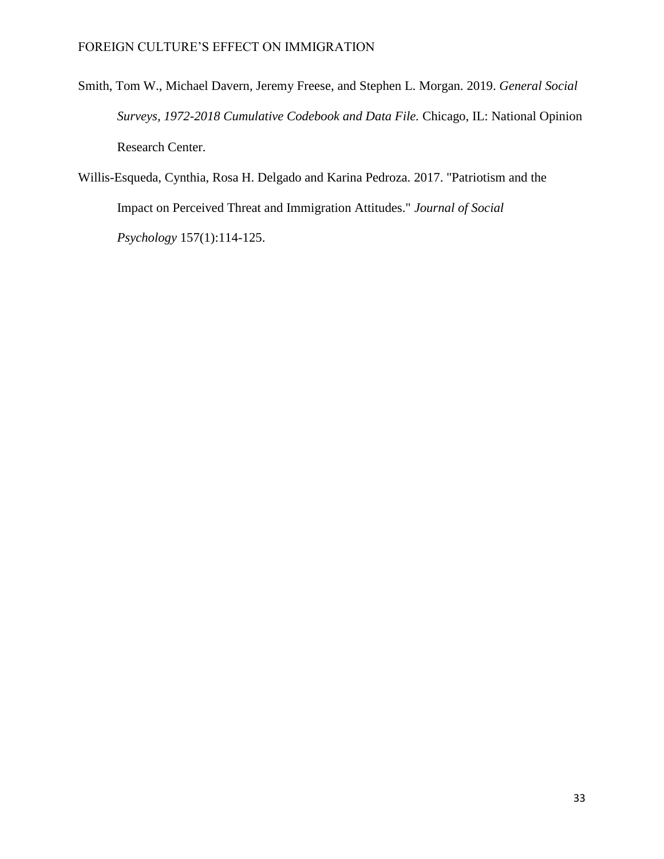- Smith, Tom W., Michael Davern, Jeremy Freese, and Stephen L. Morgan. 2019. *General Social Surveys, 1972-2018 Cumulative Codebook and Data File.* Chicago, IL: National Opinion Research Center.
- Willis-Esqueda, Cynthia, Rosa H. Delgado and Karina Pedroza. 2017. "Patriotism and the Impact on Perceived Threat and Immigration Attitudes." *Journal of Social Psychology* 157(1):114-125.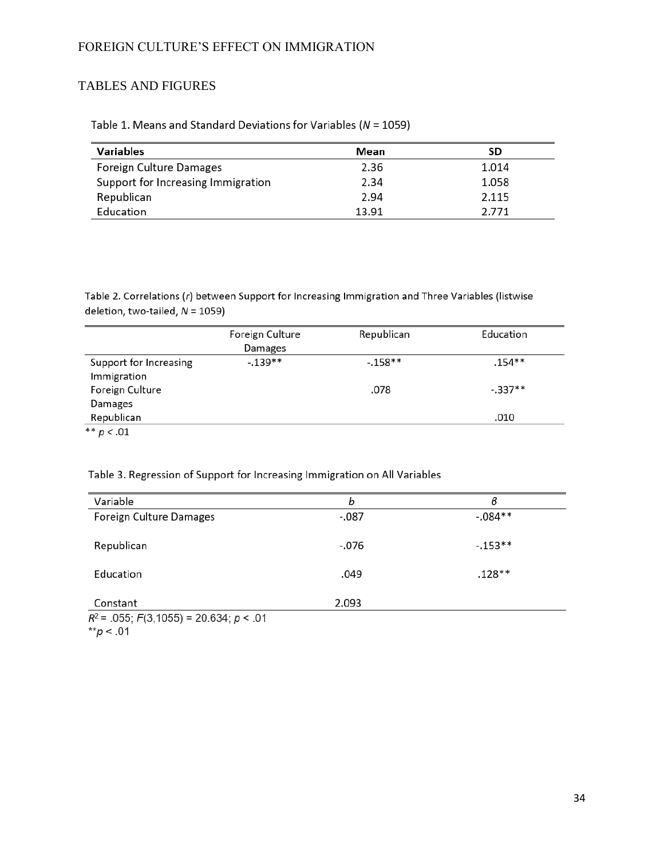# TABLES AND FIGURES

| Table 1. Means and Standard Deviations for Variables ( $N = 1059$ ) |
|---------------------------------------------------------------------|
|---------------------------------------------------------------------|

| Variables                          | Mean  | SD    |
|------------------------------------|-------|-------|
| Foreign Culture Damages            | 2.36  | 1.014 |
| Support for Increasing Immigration | 2.34  | 1.058 |
| Republican                         | 2.94  | 2.115 |
| Education                          | 13.91 | 2.771 |

Table 2. Correlations (r) between Support for Increasing Immigration and Three Variables (listwise deletion, two-tailed, N = 1059)

|                        | Foreign Culture | Republican | Education |
|------------------------|-----------------|------------|-----------|
|                        | Damages         |            |           |
| Support for Increasing | $-139**$        | $-158**$   | $.154**$  |
| Immigration            |                 |            |           |
| Foreign Culture        |                 | .078       | $-.337**$ |
| Damages                |                 |            |           |
| Republican             |                 |            | .010      |
| ** $p < .01$           |                 |            |           |

# Table 3. Regression of Support for Increasing Immigration on All Variables

| Variable                                      | b       | в         |
|-----------------------------------------------|---------|-----------|
| Foreign Culture Damages                       | $-0.87$ | $-.084**$ |
| Republican                                    | -.076   | $-.153**$ |
| Education                                     | .049    | $.128**$  |
| Constant                                      | 2.093   |           |
| $R^2$ = .055; $F(3,1055)$ = 20.634; $p < .01$ |         |           |

\*\* $p < .01$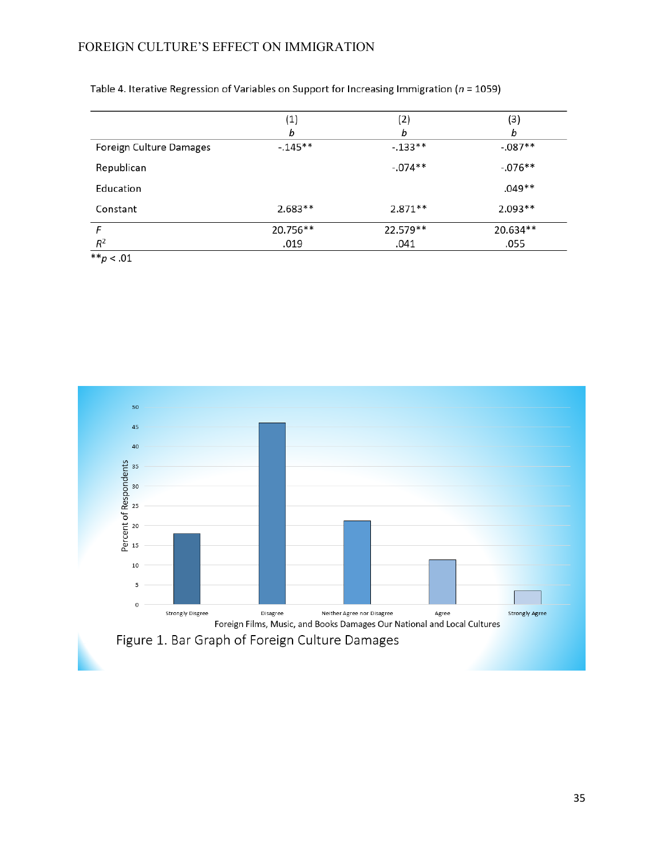|                         | (1)       | (2)       | (3)       |
|-------------------------|-----------|-----------|-----------|
|                         | b         | b         | b         |
| Foreign Culture Damages | $-145**$  | $-133**$  | $-.087**$ |
| Republican              |           | $-.074**$ | $-.076**$ |
| Education               |           |           | $.049**$  |
| Constant                | $2.683**$ | $2.871**$ | $2.093**$ |
| F                       | 20.756**  | 22.579**  | 20.634**  |
| $R^2$                   | .019      | .041      | .055      |
| $44$ $04$               |           |           |           |

Table 4. Iterative Regression of Variables on Support for Increasing Immigration ( $n = 1059$ )

\*\* $p < .01$ 

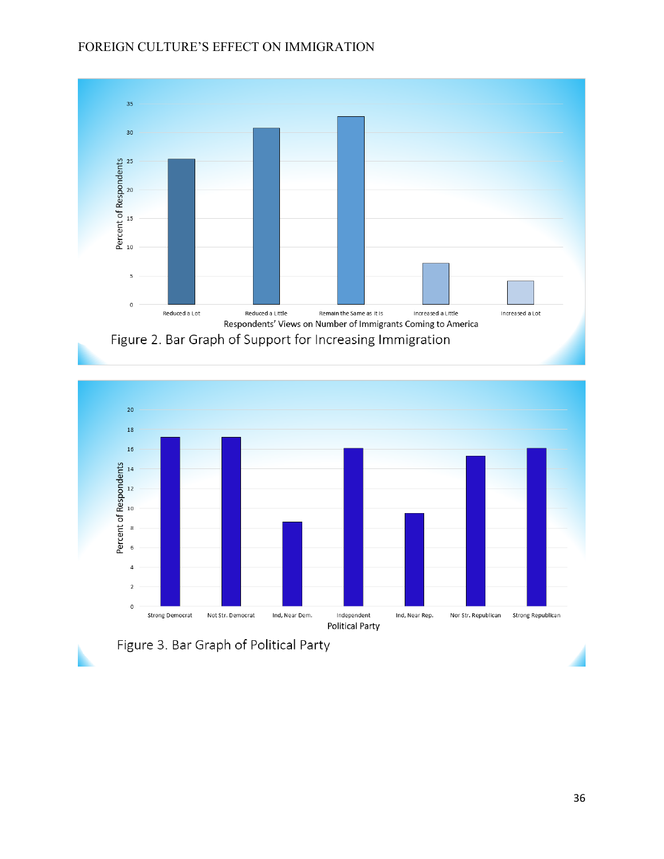